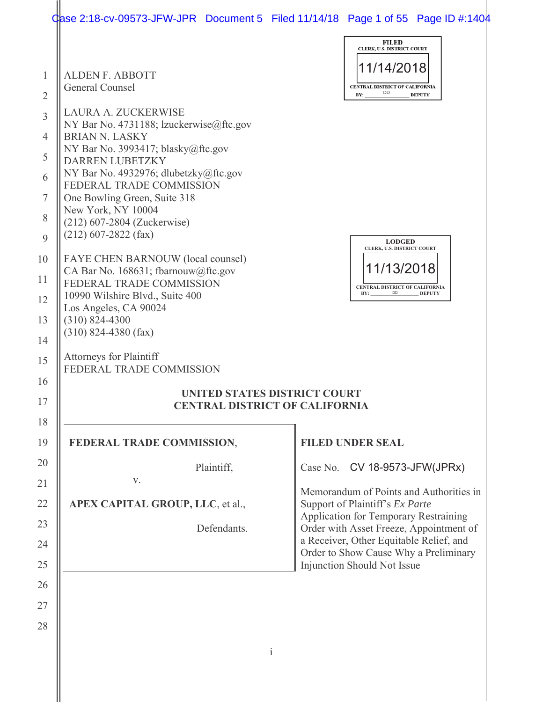|                                                                                           | Gase 2:18-cv-09573-JFW-JPR Document 5 Filed $11/14/18$ Page 1 of 55 Page ID #:1404                                                                                                                                                                                                                                                                                                                                                                                                                                                                                                                                                                                                                     |              |                                                                                                                                                                                                                                                                                |                                         |
|-------------------------------------------------------------------------------------------|--------------------------------------------------------------------------------------------------------------------------------------------------------------------------------------------------------------------------------------------------------------------------------------------------------------------------------------------------------------------------------------------------------------------------------------------------------------------------------------------------------------------------------------------------------------------------------------------------------------------------------------------------------------------------------------------------------|--------------|--------------------------------------------------------------------------------------------------------------------------------------------------------------------------------------------------------------------------------------------------------------------------------|-----------------------------------------|
| $\mathbf{1}$                                                                              | <b>ALDEN F. ABBOTT</b><br>General Counsel                                                                                                                                                                                                                                                                                                                                                                                                                                                                                                                                                                                                                                                              |              | <b>FILED</b><br>CLERK, U.S. DISTRICT COURT<br>11/14/2018<br>CENTRAL DISTRICT OF CALIFORNIA<br>DD<br>BY:                                                                                                                                                                        | <b>DEPUTY</b>                           |
| 2<br>3<br>4<br>5<br>6<br>$\tau$<br>8<br>9<br>10<br>11<br>12<br>13<br>14<br>15<br>16<br>17 | LAURA A. ZUCKERWISE<br>NY Bar No. 4731188; lzuckerwise@ftc.gov<br><b>BRIAN N. LASKY</b><br>NY Bar No. 3993417; blasky@ftc.gov<br><b>DARREN LUBETZKY</b><br>NY Bar No. 4932976; dlubetzky@ftc.gov<br>FEDERAL TRADE COMMISSION<br>One Bowling Green, Suite 318<br>New York, NY 10004<br>(212) 607-2804 (Zuckerwise)<br>$(212)$ 607-2822 (fax)<br>FAYE CHEN BARNOUW (local counsel)<br>CA Bar No. 168631; fbarnouw@ftc.gov<br>FEDERAL TRADE COMMISSION<br>10990 Wilshire Blvd., Suite 400<br>Los Angeles, CA 90024<br>$(310) 824 - 4300$<br>$(310)$ 824-4380 (fax)<br><b>Attorneys for Plaintiff</b><br>FEDERAL TRADE COMMISSION<br>UNITED STATES DISTRICT COURT<br><b>CENTRAL DISTRICT OF CALIFORNIA</b> |              | <b>LODGED</b><br>CLERK, U.S. DISTRICT COURT<br>11/13/2018<br>CENTRAL DISTRICT OF CALIFORNIA<br>BY:                                                                                                                                                                             | DD DEPUTY                               |
| 18<br>19                                                                                  | FEDERAL TRADE COMMISSION,                                                                                                                                                                                                                                                                                                                                                                                                                                                                                                                                                                                                                                                                              |              | <b>FILED UNDER SEAL</b>                                                                                                                                                                                                                                                        |                                         |
| 20<br>21<br>22<br>23<br>24<br>25<br>26<br>27<br>28                                        | Plaintiff,<br>V.<br>APEX CAPITAL GROUP, LLC, et al.,<br>Defendants.                                                                                                                                                                                                                                                                                                                                                                                                                                                                                                                                                                                                                                    |              | Case No. CV 18-9573-JFW(JPRx)<br>Support of Plaintiff's Ex Parte<br><b>Application for Temporary Restraining</b><br>Order with Asset Freeze, Appointment of<br>a Receiver, Other Equitable Relief, and<br>Order to Show Cause Why a Preliminary<br>Injunction Should Not Issue | Memorandum of Points and Authorities in |
|                                                                                           |                                                                                                                                                                                                                                                                                                                                                                                                                                                                                                                                                                                                                                                                                                        | $\mathbf{i}$ |                                                                                                                                                                                                                                                                                |                                         |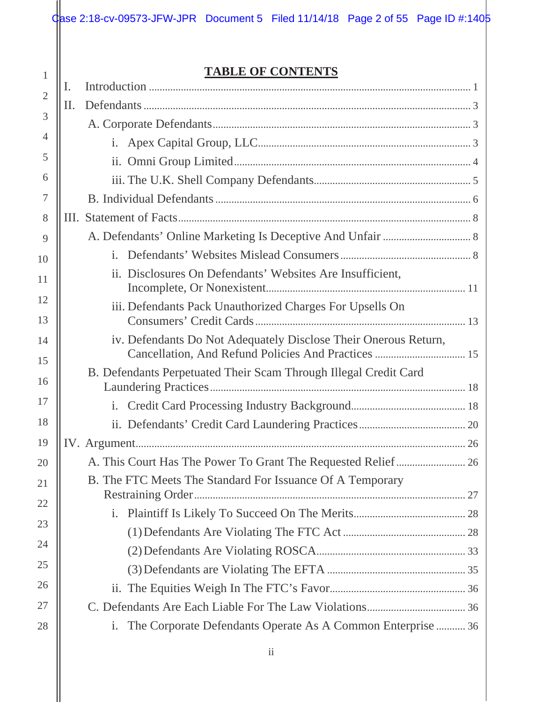## **TABLE OF CONTENTS**

| 1              |    | <b>TABLE OF CONTENTS</b>                                                      |  |
|----------------|----|-------------------------------------------------------------------------------|--|
| $\overline{2}$ | I. |                                                                               |  |
|                | П. |                                                                               |  |
| 3              |    |                                                                               |  |
| 4              |    |                                                                               |  |
| 5              |    |                                                                               |  |
| 6              |    |                                                                               |  |
| 7              |    |                                                                               |  |
| 8              |    |                                                                               |  |
| 9              |    |                                                                               |  |
| 10             |    |                                                                               |  |
| 11             |    | ii. Disclosures On Defendants' Websites Are Insufficient,                     |  |
| 12<br>13       |    | iii. Defendants Pack Unauthorized Charges For Upsells On                      |  |
| 14<br>15       |    | iv. Defendants Do Not Adequately Disclose Their Onerous Return,               |  |
| 16             |    | B. Defendants Perpetuated Their Scam Through Illegal Credit Card              |  |
| 17             |    |                                                                               |  |
| 18             |    |                                                                               |  |
| 19             |    |                                                                               |  |
| 20             |    |                                                                               |  |
| 21             |    | B. The FTC Meets The Standard For Issuance Of A Temporary                     |  |
| 22             |    |                                                                               |  |
| 23             |    |                                                                               |  |
|                |    |                                                                               |  |
| 24             |    |                                                                               |  |
| 25             |    |                                                                               |  |
| 26             |    |                                                                               |  |
| 27             |    |                                                                               |  |
| 28             |    | The Corporate Defendants Operate As A Common Enterprise  36<br>$\mathbf{i}$ . |  |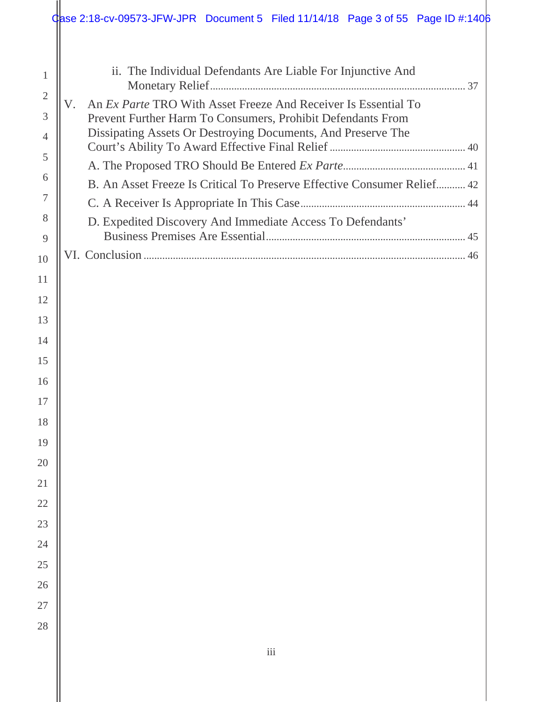|                     | Case 2:18-cv-09573-JFW-JPR Document 5 Filed 11/14/18 Page 3 of 55 Page ID #:1406                                            |  |
|---------------------|-----------------------------------------------------------------------------------------------------------------------------|--|
| $\mathbf{1}$        | ii. The Individual Defendants Are Liable For Injunctive And                                                                 |  |
| $\overline{2}$      | An <i>Ex Parte</i> TRO With Asset Freeze And Receiver Is Essential To<br>V.                                                 |  |
| 3<br>$\overline{4}$ | Prevent Further Harm To Consumers, Prohibit Defendants From<br>Dissipating Assets Or Destroying Documents, And Preserve The |  |
| 5                   |                                                                                                                             |  |
| 6                   | B. An Asset Freeze Is Critical To Preserve Effective Consumer Relief 42                                                     |  |
| 7                   |                                                                                                                             |  |
| 8                   | D. Expedited Discovery And Immediate Access To Defendants'                                                                  |  |
| 9                   |                                                                                                                             |  |
| 10                  |                                                                                                                             |  |
| 11                  |                                                                                                                             |  |
| 12                  |                                                                                                                             |  |
| 13                  |                                                                                                                             |  |
| 14                  |                                                                                                                             |  |
| 15                  |                                                                                                                             |  |
| 16                  |                                                                                                                             |  |
| 17                  |                                                                                                                             |  |
| 18                  |                                                                                                                             |  |
| 19                  |                                                                                                                             |  |
| 20                  |                                                                                                                             |  |
| 21                  |                                                                                                                             |  |
| 22                  |                                                                                                                             |  |
| 23                  |                                                                                                                             |  |
| 24                  |                                                                                                                             |  |
| 25                  |                                                                                                                             |  |
| 26                  |                                                                                                                             |  |
| 27                  |                                                                                                                             |  |
| 28                  |                                                                                                                             |  |
|                     | $\rm iii$                                                                                                                   |  |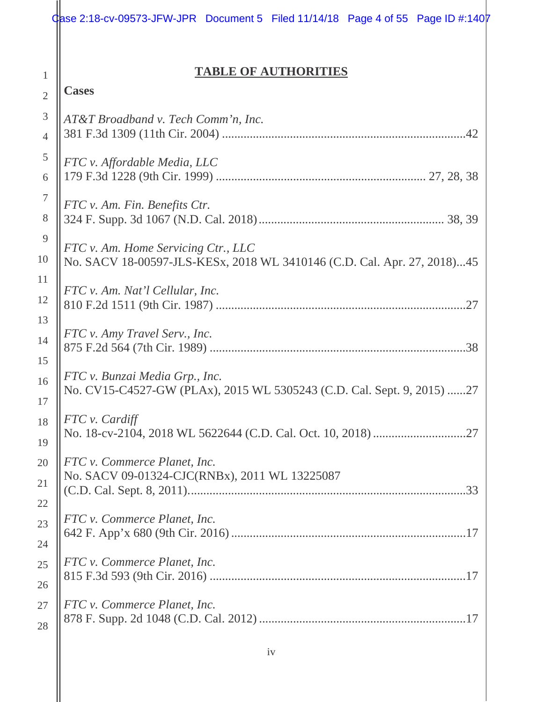## **TABLE OF AUTHORITIES**

## **Cases**

1

| 3                | AT&T Broadband v. Tech Comm'n, Inc.                                     |
|------------------|-------------------------------------------------------------------------|
| $\overline{4}$   |                                                                         |
| $\mathfrak{S}$   | FTC v. Affordable Media, LLC                                            |
| 6                |                                                                         |
| $\boldsymbol{7}$ | FTC v. Am. Fin. Benefits Ctr.                                           |
| 8                |                                                                         |
| 9                | FTC v. Am. Home Servicing Ctr., LLC                                     |
| 10               | No. SACV 18-00597-JLS-KESx, 2018 WL 3410146 (C.D. Cal. Apr. 27, 2018)45 |
| 11               | FTC v. Am. Nat'l Cellular, Inc.                                         |
| 12               |                                                                         |
| 13               | FTC v. Amy Travel Serv., Inc.                                           |
| 14               |                                                                         |
| 15               | FTC v. Bunzai Media Grp., Inc.                                          |
| 16               | No. CV15-C4527-GW (PLAx), 2015 WL 5305243 (C.D. Cal. Sept. 9, 2015) 27  |
| 17               | FTC v. Cardiff                                                          |
| 18               |                                                                         |
| 19<br>20         | FTC v. Commerce Planet, Inc.                                            |
| 21               | No. SACV 09-01324-CJC(RNBx), 2011 WL 13225087                           |
| 22               |                                                                         |
| 23               | FTC v. Commerce Planet, Inc.                                            |
| 24               |                                                                         |
| 25               | FTC v. Commerce Planet, Inc.                                            |
| 26               |                                                                         |
| 27               | FTC v. Commerce Planet, Inc.                                            |
| 28               |                                                                         |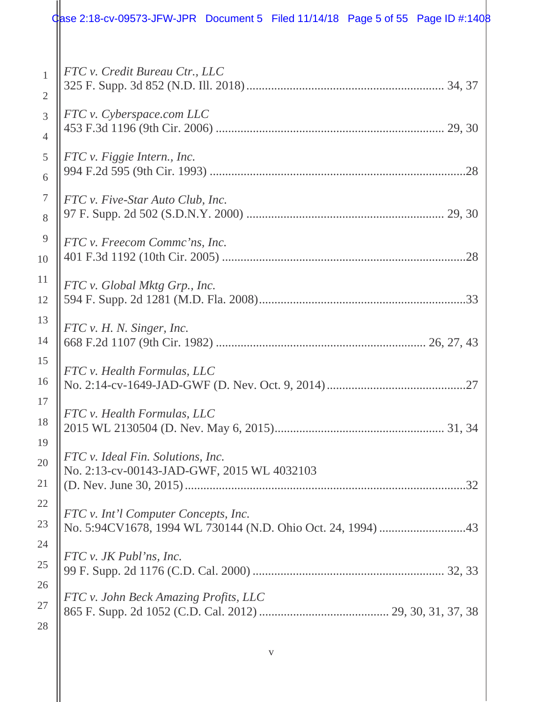|                      | Case 2:18-cv-09573-JFW-JPR Document 5 Filed $11/14/18$ Page 5 of 55 Page ID #:1408 |  |
|----------------------|------------------------------------------------------------------------------------|--|
| 1<br>$\overline{2}$  | FTC v. Credit Bureau Ctr., LLC                                                     |  |
| 3<br>$\overline{4}$  | FTC v. Cyberspace.com LLC                                                          |  |
| 5<br>6               | FTC v. Figgie Intern., Inc.                                                        |  |
| $\overline{7}$<br>8  | FTC v. Five-Star Auto Club, Inc.                                                   |  |
| $\overline{9}$<br>10 | FTC v. Freecom Commc'ns, Inc.                                                      |  |
| 11<br>12             | FTC v. Global Mktg Grp., Inc.                                                      |  |
| 13<br>14             | FTC v. H. N. Singer, Inc.                                                          |  |
| 15<br>16             | FTC v. Health Formulas, LLC                                                        |  |
| 17<br>18<br>19       | FTC v. Health Formulas, LLC                                                        |  |
| 20<br>21             | FTC v. Ideal Fin. Solutions, Inc.<br>No. 2:13-cv-00143-JAD-GWF, 2015 WL 4032103    |  |
| 22<br>23             | FTC v. Int'l Computer Concepts, Inc.                                               |  |
| 24<br>25             | FTC v. JK Publ'ns, Inc.                                                            |  |
| 26<br>27<br>28       | FTC v. John Beck Amazing Profits, LLC                                              |  |

v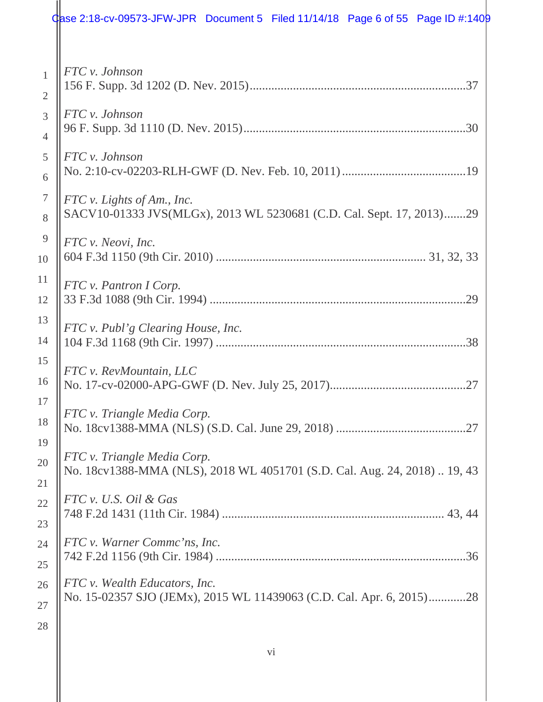## $\frac{1}{2}$  Qase 2:18-cv-09573-JFW-JPR Document 5 Filed 11/14/18 Page 6 of 55 Page ID #:1409

| $\mathbf{1}$<br>$\overline{2}$ | FTC v. Johnson                                                                                     |
|--------------------------------|----------------------------------------------------------------------------------------------------|
| $\overline{3}$                 | FTC v. Johnson                                                                                     |
| $\overline{4}$                 |                                                                                                    |
| 5                              | FTC v. Johnson                                                                                     |
| 6                              |                                                                                                    |
| $\tau$<br>8                    | FTC v. Lights of Am., Inc.<br>SACV10-01333 JVS(MLGx), 2013 WL 5230681 (C.D. Cal. Sept. 17, 2013)29 |
| 9                              | FTC v. Neovi, Inc.                                                                                 |
| 10                             |                                                                                                    |
| 11                             | FTC v. Pantron I Corp.                                                                             |
| 12                             |                                                                                                    |
| 13                             | FTC v. Publ'g Clearing House, Inc.                                                                 |
| 14                             |                                                                                                    |
| 15                             | FTC v. RevMountain, LLC                                                                            |
| 16                             |                                                                                                    |
| 17                             | FTC v. Triangle Media Corp.                                                                        |
| 18                             |                                                                                                    |
| 19                             | FTC v. Triangle Media Corp.                                                                        |
| 20                             | No. 18cv1388-MMA (NLS), 2018 WL 4051701 (S.D. Cal. Aug. 24, 2018)  19, 43                          |
| 21                             |                                                                                                    |
| 22                             | FTC v. U.S. Oil & Gas                                                                              |
| 23                             |                                                                                                    |
| 24                             | FTC v. Warner Commc'ns, Inc.                                                                       |
| 25                             |                                                                                                    |
| 26                             | FTC v. Wealth Educators, Inc.                                                                      |
| 27                             | No. 15-02357 SJO (JEMx), 2015 WL 11439063 (C.D. Cal. Apr. 6, 2015)28                               |
| 28                             |                                                                                                    |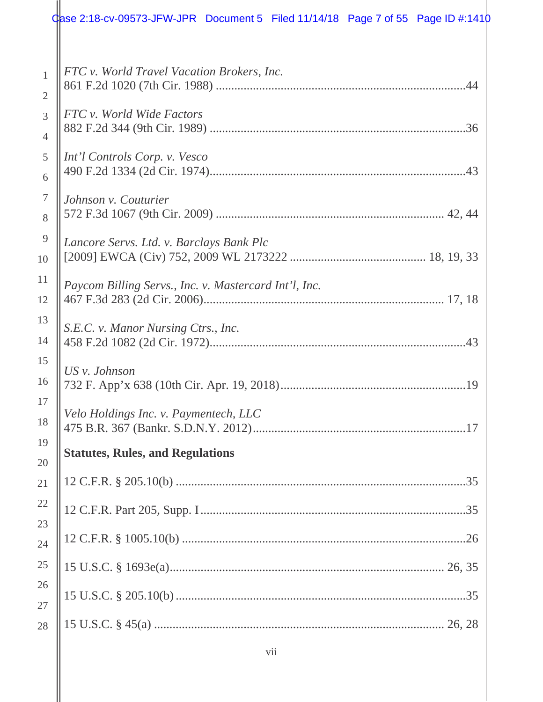|                                | Case 2:18-cv-09573-JFW-JPR Document 5 Filed 11/14/18 Page 7 of 55 Page ID #:1410 |  |
|--------------------------------|----------------------------------------------------------------------------------|--|
| $\mathbf{1}$<br>$\overline{2}$ | FTC v. World Travel Vacation Brokers, Inc.                                       |  |
| 3<br>$\overline{4}$            | FTC v. World Wide Factors                                                        |  |
| 5<br>6                         | Int'l Controls Corp. v. Vesco                                                    |  |
| $\boldsymbol{7}$<br>8          | Johnson v. Couturier                                                             |  |
| $\overline{9}$<br>10           | Lancore Servs. Ltd. v. Barclays Bank Plc                                         |  |
| 11<br>12                       | Paycom Billing Servs., Inc. v. Mastercard Int'l, Inc.                            |  |
| 13<br>14                       | S.E.C. v. Manor Nursing Ctrs., Inc.                                              |  |
| 15<br>16                       | US v. Johnson                                                                    |  |
| 17<br>18                       | Velo Holdings Inc. v. Paymentech, LLC                                            |  |
| 19<br>20                       | <b>Statutes, Rules, and Regulations</b>                                          |  |
| 21                             |                                                                                  |  |
| 22<br>23                       |                                                                                  |  |
| 24                             |                                                                                  |  |
| 25                             |                                                                                  |  |
| 26<br>27                       |                                                                                  |  |
| 28                             |                                                                                  |  |

vii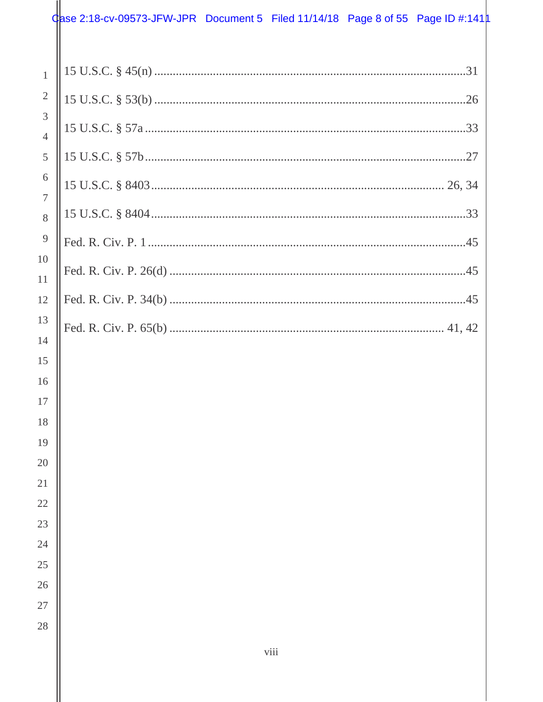## $\frac{1}{2}$  ase 2:18-cv-09573-JFW-JPR Document 5 Filed 11/14/18 Page 8 of 55 Page ID #:141  $\frac{1}{2}$

| $\mathbf{1}$        |  |
|---------------------|--|
| $\sqrt{2}$          |  |
| 3<br>$\overline{4}$ |  |
| 5                   |  |
| 6                   |  |
| $\overline{7}$      |  |
| 8                   |  |
| 9                   |  |
| 10                  |  |
| 11<br>12            |  |
| 13                  |  |
| 14                  |  |
| 15                  |  |
| 16                  |  |
| 17                  |  |
| 18                  |  |
| 19                  |  |
| 20                  |  |
| 21                  |  |
| $22\,$              |  |
| 23                  |  |
| 24                  |  |
| 25                  |  |
| $26\,$              |  |
| $27\,$              |  |
| 28                  |  |
|                     |  |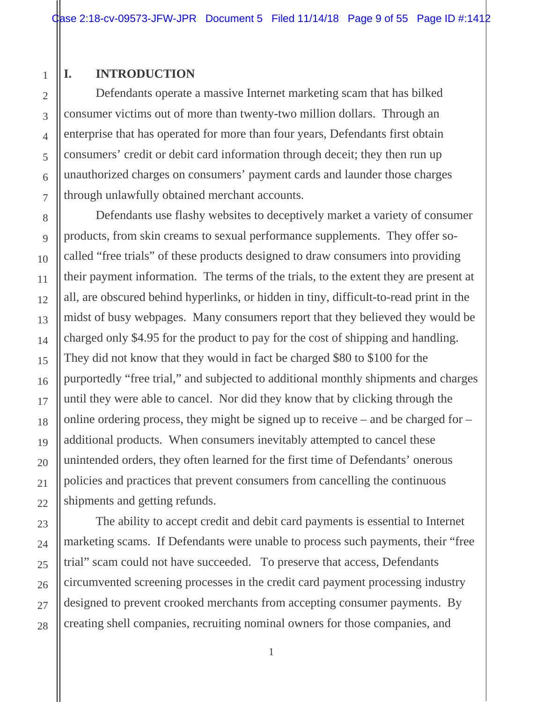#### **I. INTRODUCTION**

1

2

3

4

5

6

7

8

9

10

11

12

13

14

15

16

17

18

19

20

21

22

23

24

25

26

27

28

Defendants operate a massive Internet marketing scam that has bilked consumer victims out of more than twenty-two million dollars. Through an enterprise that has operated for more than four years, Defendants first obtain consumers' credit or debit card information through deceit; they then run up unauthorized charges on consumers' payment cards and launder those charges through unlawfully obtained merchant accounts.

Defendants use flashy websites to deceptively market a variety of consumer products, from skin creams to sexual performance supplements. They offer socalled "free trials" of these products designed to draw consumers into providing their payment information. The terms of the trials, to the extent they are present at all, are obscured behind hyperlinks, or hidden in tiny, difficult-to-read print in the midst of busy webpages. Many consumers report that they believed they would be charged only \$4.95 for the product to pay for the cost of shipping and handling. They did not know that they would in fact be charged \$80 to \$100 for the purportedly "free trial," and subjected to additional monthly shipments and charges until they were able to cancel. Nor did they know that by clicking through the online ordering process, they might be signed up to receive – and be charged for – additional products. When consumers inevitably attempted to cancel these unintended orders, they often learned for the first time of Defendants' onerous policies and practices that prevent consumers from cancelling the continuous shipments and getting refunds.

The ability to accept credit and debit card payments is essential to Internet marketing scams. If Defendants were unable to process such payments, their "free trial" scam could not have succeeded. To preserve that access, Defendants circumvented screening processes in the credit card payment processing industry designed to prevent crooked merchants from accepting consumer payments. By creating shell companies, recruiting nominal owners for those companies, and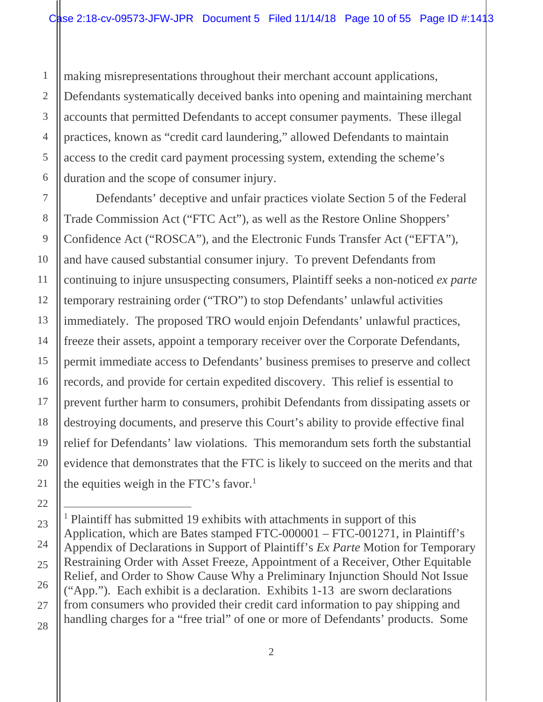making misrepresentations throughout their merchant account applications, Defendants systematically deceived banks into opening and maintaining merchant accounts that permitted Defendants to accept consumer payments. These illegal practices, known as "credit card laundering," allowed Defendants to maintain access to the credit card payment processing system, extending the scheme's duration and the scope of consumer injury.

Defendants' deceptive and unfair practices violate Section 5 of the Federal Trade Commission Act ("FTC Act"), as well as the Restore Online Shoppers' Confidence Act ("ROSCA"), and the Electronic Funds Transfer Act ("EFTA"), and have caused substantial consumer injury. To prevent Defendants from continuing to injure unsuspecting consumers, Plaintiff seeks a non-noticed *ex parte*  temporary restraining order ("TRO") to stop Defendants' unlawful activities immediately. The proposed TRO would enjoin Defendants' unlawful practices, freeze their assets, appoint a temporary receiver over the Corporate Defendants, permit immediate access to Defendants' business premises to preserve and collect records, and provide for certain expedited discovery. This relief is essential to prevent further harm to consumers, prohibit Defendants from dissipating assets or destroying documents, and preserve this Court's ability to provide effective final relief for Defendants' law violations. This memorandum sets forth the substantial evidence that demonstrates that the FTC is likely to succeed on the merits and that the equities weigh in the FTC's favor.<sup>1</sup>

<sup>&</sup>lt;sup>1</sup> Plaintiff has submitted 19 exhibits with attachments in support of this Application, which are Bates stamped FTC-000001 – FTC-001271, in Plaintiff's Appendix of Declarations in Support of Plaintiff's *Ex Parte* Motion for Temporary Restraining Order with Asset Freeze, Appointment of a Receiver, Other Equitable Relief, and Order to Show Cause Why a Preliminary Injunction Should Not Issue ("App."). Each exhibit is a declaration. Exhibits 1-13 are sworn declarations from consumers who provided their credit card information to pay shipping and handling charges for a "free trial" of one or more of Defendants' products. Some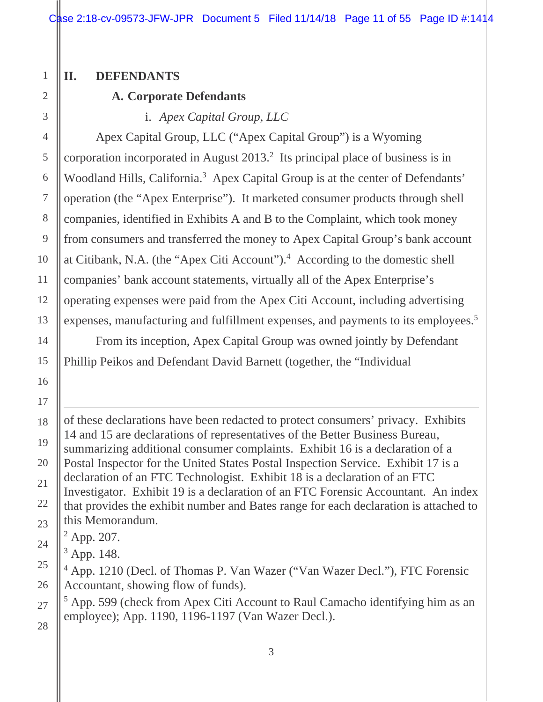Case 2:18-cv-09573-JFW-JPR Document 5 Filed  $11/14/18$  Page 11 of 55 Page ID #:1414

#### **II. DEFENDANTS**

## **A. Corporate Defendants**

i. *Apex Capital Group, LLC* 

expenses, manufacturing and fulfillment expenses, and payments to its employees.<sup>5</sup> Apex Capital Group, LLC ("Apex Capital Group") is a Wyoming corporation incorporated in August  $2013<sup>2</sup>$  Its principal place of business is in Woodland Hills, California.<sup>3</sup> Apex Capital Group is at the center of Defendants' operation (the "Apex Enterprise"). It marketed consumer products through shell companies, identified in Exhibits A and B to the Complaint, which took money from consumers and transferred the money to Apex Capital Group's bank account at Citibank, N.A. (the "Apex Citi Account").4 According to the domestic shell companies' bank account statements, virtually all of the Apex Enterprise's operating expenses were paid from the Apex Citi Account, including advertising

From its inception, Apex Capital Group was owned jointly by Defendant Phillip Peikos and Defendant David Barnett (together, the "Individual

of these declarations have been redacted to protect consumers' privacy. Exhibits 14 and 15 are declarations of representatives of the Better Business Bureau, summarizing additional consumer complaints. Exhibit 16 is a declaration of a Postal Inspector for the United States Postal Inspection Service. Exhibit 17 is a declaration of an FTC Technologist. Exhibit 18 is a declaration of an FTC Investigator. Exhibit 19 is a declaration of an FTC Forensic Accountant. An index that provides the exhibit number and Bates range for each declaration is attached to this Memorandum.

 $2$  App. 207.

 $3$  App. 148.

<sup>4</sup> App. 1210 (Decl. of Thomas P. Van Wazer ("Van Wazer Decl."), FTC Forensic Accountant, showing flow of funds).

<sup>5</sup> App. 599 (check from Apex Citi Account to Raul Camacho identifying him as an employee); App. 1190, 1196-1197 (Van Wazer Decl.).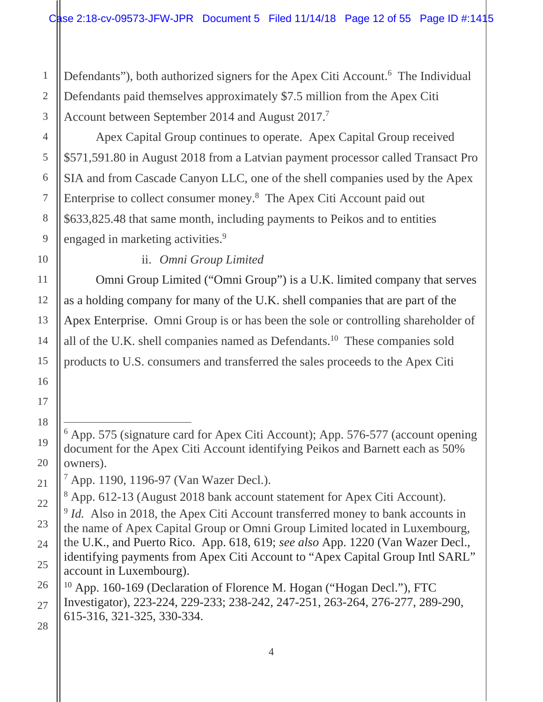Account between September 2014 and August 2017.<sup>7</sup> Defendants"), both authorized signers for the Apex Citi Account.<sup>6</sup> The Individual Defendants paid themselves approximately \$7.5 million from the Apex Citi

engaged in marketing activities.<sup>9</sup> Apex Capital Group continues to operate. Apex Capital Group received \$571,591.80 in August 2018 from a Latvian payment processor called Transact Pro SIA and from Cascade Canyon LLC, one of the shell companies used by the Apex Enterprise to collect consumer money.8 The Apex Citi Account paid out \$633,825.48 that same month, including payments to Peikos and to entities

ii. *Omni Group Limited* 

Omni Group Limited ("Omni Group") is a U.K. limited company that serves as a holding company for many of the U.K. shell companies that are part of the Apex Enterprise. Omni Group is or has been the sole or controlling shareholder of all of the U.K. shell companies named as Defendants.10 These companies sold products to U.S. consumers and transferred the sales proceeds to the Apex Citi

 $\overline{a}$ <sup>6</sup> App. 575 (signature card for Apex Citi Account); App. 576-577 (account opening document for the Apex Citi Account identifying Peikos and Barnett each as 50% owners).

<sup>7</sup> App. 1190, 1196-97 (Van Wazer Decl.).

<sup>&</sup>lt;sup>8</sup> App. 612-13 (August 2018 bank account statement for Apex Citi Account).

<sup>&</sup>lt;sup>9</sup> Id. Also in 2018, the Apex Citi Account transferred money to bank accounts in the name of Apex Capital Group or Omni Group Limited located in Luxembourg, the U.K., and Puerto Rico. App. 618, 619; *see also* App. 1220 (Van Wazer Decl., identifying payments from Apex Citi Account to "Apex Capital Group Intl SARL" account in Luxembourg).

<sup>&</sup>lt;sup>10</sup> App. 160-169 (Declaration of Florence M. Hogan ("Hogan Decl."), FTC Investigator), 223-224, 229-233; 238-242, 247-251, 263-264, 276-277, 289-290, 615-316, 321-325, 330-334.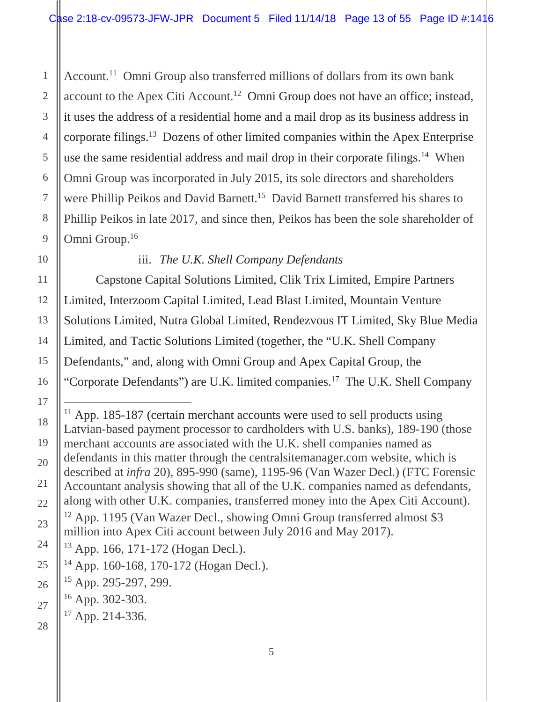use the same residential address and mail drop in their corporate filings.<sup>14</sup> When Omni Group.<sup>16</sup> Account.<sup>11</sup> Omni Group also transferred millions of dollars from its own bank account to the Apex Citi Account.<sup>12</sup> Omni Group does not have an office; instead, it uses the address of a residential home and a mail drop as its business address in corporate filings.13 Dozens of other limited companies within the Apex Enterprise Omni Group was incorporated in July 2015, its sole directors and shareholders were Phillip Peikos and David Barnett.<sup>15</sup> David Barnett transferred his shares to Phillip Peikos in late 2017, and since then, Peikos has been the sole shareholder of

## iii. *The U.K. Shell Company Defendants*

Capstone Capital Solutions Limited, Clik Trix Limited, Empire Partners Limited, Interzoom Capital Limited, Lead Blast Limited, Mountain Venture Solutions Limited, Nutra Global Limited, Rendezvous IT Limited, Sky Blue Media Limited, and Tactic Solutions Limited (together, the "U.K. Shell Company Defendants," and, along with Omni Group and Apex Capital Group, the "Corporate Defendants") are U.K. limited companies.17 The U.K. Shell Company

 $11$  App. 185-187 (certain merchant accounts were used to sell products using Latvian-based payment processor to cardholders with U.S. banks), 189-190 (those merchant accounts are associated with the U.K. shell companies named as defendants in this matter through the centralsitemanager.com website, which is described at *infra* 20), 895-990 (same), 1195-96 (Van Wazer Decl.) (FTC Forensic Accountant analysis showing that all of the U.K. companies named as defendants, along with other U.K. companies, transferred money into the Apex Citi Account). 12 App. 1195 (Van Wazer Decl., showing Omni Group transferred almost \$3

million into Apex Citi account between July 2016 and May 2017).

 $17$  App. 214-336.

<sup>13</sup> App. 166, 171-172 (Hogan Decl.).

<sup>14</sup> App. 160-168, 170-172 (Hogan Decl.).

<sup>15</sup> App. 295-297, 299.

 $16$  App. 302-303.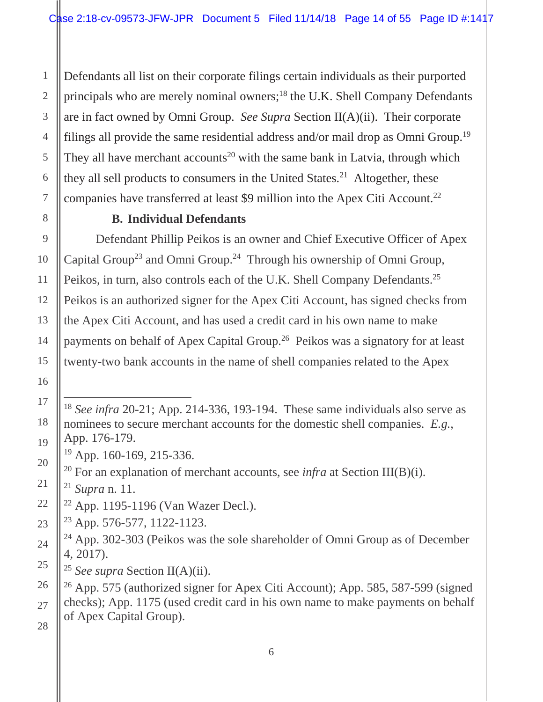filings all provide the same residential address and/or mail drop as Omni Group.<sup>19</sup> Defendants all list on their corporate filings certain individuals as their purported principals who are merely nominal owners;<sup>18</sup> the U.K. Shell Company Defendants are in fact owned by Omni Group. *See Supra* Section II(A)(ii). Their corporate They all have merchant accounts<sup>20</sup> with the same bank in Latvia, through which they all sell products to consumers in the United States.<sup>21</sup> Altogether, these companies have transferred at least \$9 million into the Apex Citi Account.22

## **B. Individual Defendants**

Peikos, in turn, also controls each of the U.K. Shell Company Defendants.<sup>25</sup> Defendant Phillip Peikos is an owner and Chief Executive Officer of Apex Capital Group<sup>23</sup> and Omni Group.<sup>24</sup> Through his ownership of Omni Group, Peikos is an authorized signer for the Apex Citi Account, has signed checks from the Apex Citi Account, and has used a credit card in his own name to make payments on behalf of Apex Capital Group.26 Peikos was a signatory for at least twenty-two bank accounts in the name of shell companies related to the Apex

22 App. 1195-1196 (Van Wazer Decl.).

23 App. 576-577, 1122-1123.

 $\overline{a}$ <sup>18</sup>*See infra* 20-21; App. 214-336, 193-194. These same individuals also serve as nominees to secure merchant accounts for the domestic shell companies. *E.g.*, App. 176-179.

<sup>19</sup> App. 160-169, 215-336.

<sup>&</sup>lt;sup>20</sup> For an explanation of merchant accounts, see *infra* at Section III(B)(i).

<sup>21</sup>*Supra* n. 11.

<sup>24</sup> App. 302-303 (Peikos was the sole shareholder of Omni Group as of December 4, 2017).

<sup>25</sup>*See supra* Section II(A)(ii).

<sup>26</sup> App. 575 (authorized signer for Apex Citi Account); App. 585, 587-599 (signed checks); App. 1175 (used credit card in his own name to make payments on behalf of Apex Capital Group).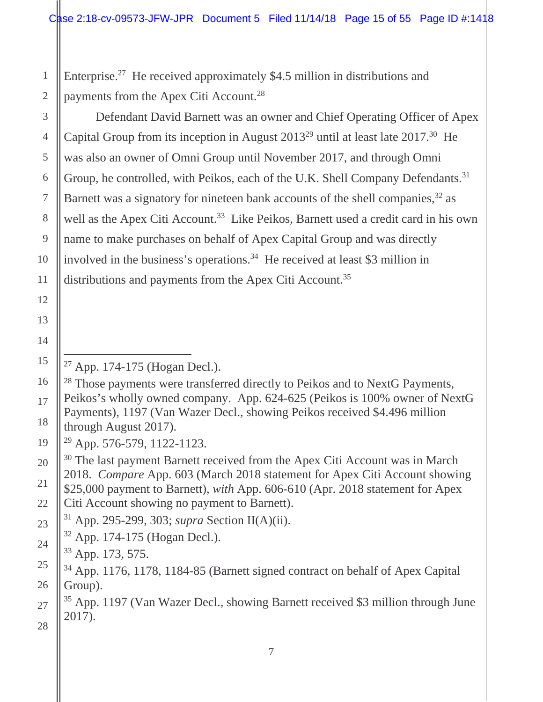Enterprise.27 He received approximately \$4.5 million in distributions and payments from the Apex Citi Account.28

Group, he controlled, with Peikos, each of the U.K. Shell Company Defendants.<sup>31</sup> distributions and payments from the Apex Citi Account.<sup>35</sup> Defendant David Barnett was an owner and Chief Operating Officer of Apex Capital Group from its inception in August  $2013^{29}$  until at least late  $2017^{30}$  He was also an owner of Omni Group until November 2017, and through Omni Barnett was a signatory for nineteen bank accounts of the shell companies,<sup>32</sup> as well as the Apex Citi Account.<sup>33</sup> Like Peikos, Barnett used a credit card in his own name to make purchases on behalf of Apex Capital Group and was directly involved in the business's operations.<sup>34</sup> He received at least \$3 million in

27 App. 174-175 (Hogan Decl.).

<sup>&</sup>lt;sup>28</sup> Those payments were transferred directly to Peikos and to NextG Payments, Peikos's wholly owned company. App. 624-625 (Peikos is 100% owner of NextG Payments), 1197 (Van Wazer Decl., showing Peikos received \$4.496 million through August 2017).

<sup>29</sup> App. 576-579, 1122-1123.

<sup>&</sup>lt;sup>30</sup> The last payment Barnett received from the Apex Citi Account was in March 2018. *Compare* App. 603 (March 2018 statement for Apex Citi Account showing \$25,000 payment to Barnett), *with* App. 606-610 (Apr. 2018 statement for Apex Citi Account showing no payment to Barnett).

<sup>31</sup> App. 295-299, 303; *supra* Section II(A)(ii).

<sup>32</sup> App. 174-175 (Hogan Decl.).

<sup>33</sup> App. 173, 575.

<sup>34</sup> App. 1176, 1178, 1184-85 (Barnett signed contract on behalf of Apex Capital Group).

<sup>35</sup> App. 1197 (Van Wazer Decl., showing Barnett received \$3 million through June 2017).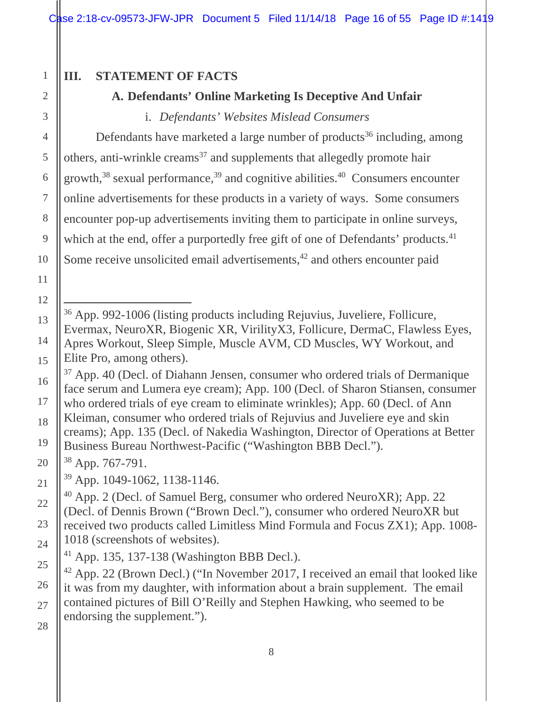Case 2:18-cv-09573-JFW-JPR Document 5 Filed 11/14/18 Page 16 of 55 Page ID #:1419

## **III. STATEMENT OF FACTS**

## **A. Defendants' Online Marketing Is Deceptive And Unfair**

i. *Defendants' Websites Mislead Consumers* 

which at the end, offer a purportedly free gift of one of Defendants' products.<sup>41</sup> Defendants have marketed a large number of products<sup>36</sup> including, among others, anti-wrinkle creams<sup>37</sup> and supplements that allegedly promote hair growth, $38$  sexual performance, $39$  and cognitive abilities. $40$  Consumers encounter online advertisements for these products in a variety of ways. Some consumers encounter pop-up advertisements inviting them to participate in online surveys, Some receive unsolicited email advertisements,<sup>42</sup> and others encounter paid

 $\overline{a}$ 36 App. 992-1006 (listing products including Rejuvius, Juveliere, Follicure, Evermax, NeuroXR, Biogenic XR, VirilityX3, Follicure, DermaC, Flawless Eyes, Apres Workout, Sleep Simple, Muscle AVM, CD Muscles, WY Workout, and Elite Pro, among others).

<sup>37</sup> App. 40 (Decl. of Diahann Jensen, consumer who ordered trials of Dermanique face serum and Lumera eye cream); App. 100 (Decl. of Sharon Stiansen, consumer who ordered trials of eye cream to eliminate wrinkles); App. 60 (Decl. of Ann Kleiman, consumer who ordered trials of Rejuvius and Juveliere eye and skin creams); App. 135 (Decl. of Nakedia Washington, Director of Operations at Better Business Bureau Northwest-Pacific ("Washington BBB Decl.").

38 App. 767-791.

39 App. 1049-1062, 1138-1146.

40 App. 2 (Decl. of Samuel Berg, consumer who ordered NeuroXR); App. 22 (Decl. of Dennis Brown ("Brown Decl."), consumer who ordered NeuroXR but received two products called Limitless Mind Formula and Focus ZX1); App. 1008- 1018 (screenshots of websites).

41 App. 135, 137-138 (Washington BBB Decl.).

42 App. 22 (Brown Decl.) ("In November 2017, I received an email that looked like it was from my daughter, with information about a brain supplement. The email contained pictures of Bill O'Reilly and Stephen Hawking, who seemed to be endorsing the supplement.").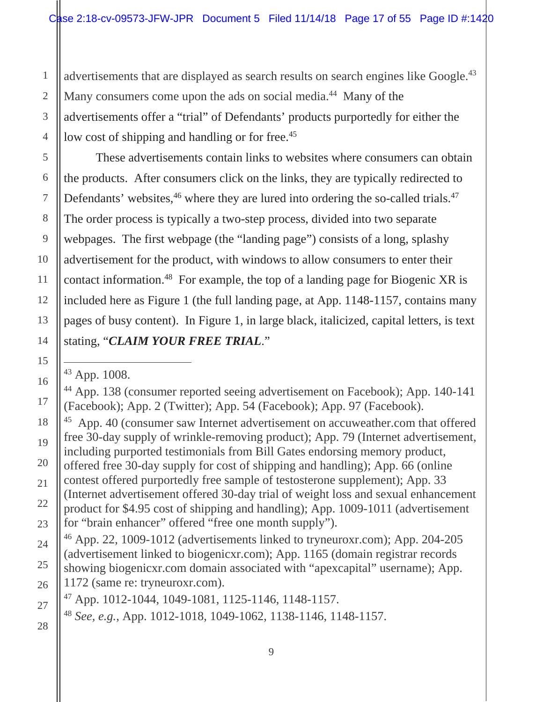advertisements that are displayed as search results on search engines like Google.<sup>43</sup> low cost of shipping and handling or for free.<sup>45</sup> Many consumers come upon the ads on social media.<sup>44</sup> Many of the advertisements offer a "trial" of Defendants' products purportedly for either the

Defendants' websites, $46$  where they are lured into ordering the so-called trials. $47$ These advertisements contain links to websites where consumers can obtain the products. After consumers click on the links, they are typically redirected to The order process is typically a two-step process, divided into two separate webpages. The first webpage (the "landing page") consists of a long, splashy advertisement for the product, with windows to allow consumers to enter their contact information.48 For example, the top of a landing page for Biogenic XR is included here as Figure 1 (the full landing page, at App. 1148-1157, contains many pages of busy content). In Figure 1, in large black, italicized, capital letters, is text stating, "*CLAIM YOUR FREE TRIAL*."

43 App. 1008.

44 App. 138 (consumer reported seeing advertisement on Facebook); App. 140-141 (Facebook); App. 2 (Twitter); App. 54 (Facebook); App. 97 (Facebook).

<sup>45</sup> App. 40 (consumer saw Internet advertisement on accuweather.com that offered free 30-day supply of wrinkle-removing product); App. 79 (Internet advertisement, including purported testimonials from Bill Gates endorsing memory product, offered free 30-day supply for cost of shipping and handling); App. 66 (online contest offered purportedly free sample of testosterone supplement); App. 33 (Internet advertisement offered 30-day trial of weight loss and sexual enhancement product for \$4.95 cost of shipping and handling); App. 1009-1011 (advertisement for "brain enhancer" offered "free one month supply").

46 App. 22, 1009-1012 (advertisements linked to tryneuroxr.com); App. 204-205 (advertisement linked to biogenicxr.com); App. 1165 (domain registrar records showing biogenicxr.com domain associated with "apexcapital" username); App. 1172 (same re: tryneuroxr.com).

 $^{47}$  App. 1012-1044, 1049-1081, 1125-1146, 1148-1157.

<sup>48</sup>*See, e.g.*, App. 1012-1018, 1049-1062, 1138-1146, 1148-1157.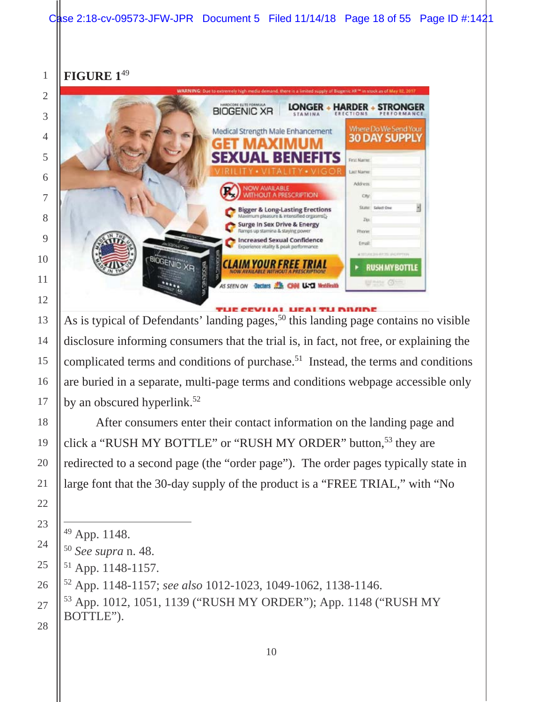## **FIGURE 1**<sup>49</sup>



by an obscured hyperlink.<sup>52</sup> As is typical of Defendants' landing pages,<sup>50</sup> this landing page contains no visible disclosure informing consumers that the trial is, in fact, not free, or explaining the complicated terms and conditions of purchase.51 Instead, the terms and conditions are buried in a separate, multi-page terms and conditions webpage accessible only

After consumers enter their contact information on the landing page and click a "RUSH MY BOTTLE" or "RUSH MY ORDER" button,<sup>53</sup> they are redirected to a second page (the "order page"). The order pages typically state in large font that the 30-day supply of the product is a "FREE TRIAL," with "No

<sup>49</sup> App. 1148.

*See supra* n. 48.

<sup>51</sup> App. 1148-1157.

<sup>52</sup> App. 1148-1157; *see also* 1012-1023, 1049-1062, 1138-1146.

<sup>53</sup> App. 1012, 1051, 1139 ("RUSH MY ORDER"); App. 1148 ("RUSH MY BOTTLE").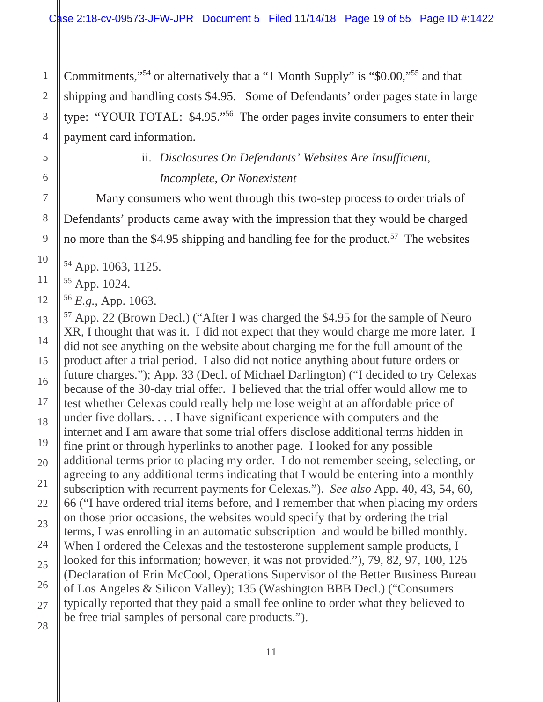Commitments,"54 or alternatively that a "1 Month Supply" is "\$0.00,"55 and that shipping and handling costs \$4.95. Some of Defendants' order pages state in large type: "YOUR TOTAL: \$4.95."56 The order pages invite consumers to enter their payment card information.

## ii. *Disclosures On Defendants' Websites Are Insufficient, Incomplete, Or Nonexistent*

Many consumers who went through this two-step process to order trials of Defendants' products came away with the impression that they would be charged no more than the \$4.95 shipping and handling fee for the product.<sup>57</sup> The websites

 $\overline{a}$ 54 App. 1063, 1125.

55 App. 1024.

<sup>56</sup>*E.g.*, App. 1063.

57 App. 22 (Brown Decl.) ("After I was charged the \$4.95 for the sample of Neuro XR, I thought that was it. I did not expect that they would charge me more later. I did not see anything on the website about charging me for the full amount of the product after a trial period. I also did not notice anything about future orders or future charges."); App. 33 (Decl. of Michael Darlington) ("I decided to try Celexas because of the 30-day trial offer. I believed that the trial offer would allow me to test whether Celexas could really help me lose weight at an affordable price of under five dollars. . . . I have significant experience with computers and the internet and I am aware that some trial offers disclose additional terms hidden in fine print or through hyperlinks to another page. I looked for any possible additional terms prior to placing my order. I do not remember seeing, selecting, or agreeing to any additional terms indicating that I would be entering into a monthly subscription with recurrent payments for Celexas."). *See also* App. 40, 43, 54, 60, 66 ("I have ordered trial items before, and I remember that when placing my orders on those prior occasions, the websites would specify that by ordering the trial terms, I was enrolling in an automatic subscription and would be billed monthly. When I ordered the Celexas and the testosterone supplement sample products, I looked for this information; however, it was not provided."), 79, 82, 97, 100, 126 (Declaration of Erin McCool, Operations Supervisor of the Better Business Bureau of Los Angeles & Silicon Valley); 135 (Washington BBB Decl.) ("Consumers typically reported that they paid a small fee online to order what they believed to be free trial samples of personal care products.").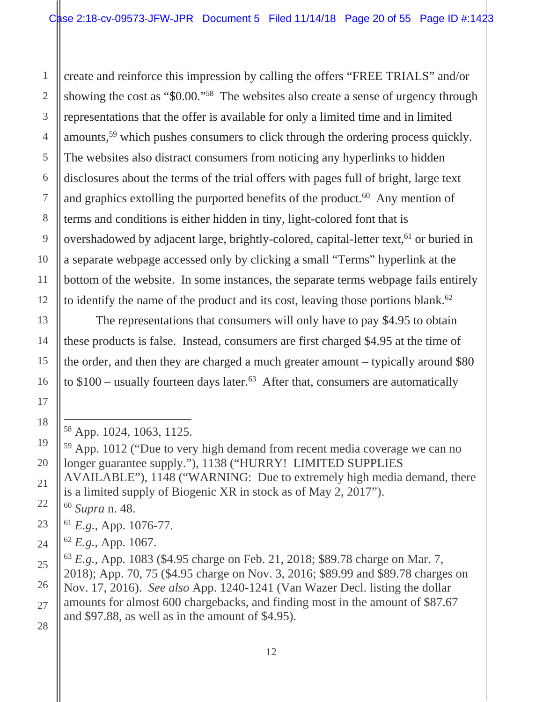to identify the name of the product and its cost, leaving those portions blank. $62$ create and reinforce this impression by calling the offers "FREE TRIALS" and/or showing the cost as "\$0.00."58 The websites also create a sense of urgency through representations that the offer is available for only a limited time and in limited amounts,59 which pushes consumers to click through the ordering process quickly. The websites also distract consumers from noticing any hyperlinks to hidden disclosures about the terms of the trial offers with pages full of bright, large text and graphics extolling the purported benefits of the product.<sup>60</sup> Any mention of terms and conditions is either hidden in tiny, light-colored font that is overshadowed by adjacent large, brightly-colored, capital-letter text,<sup>61</sup> or buried in a separate webpage accessed only by clicking a small "Terms" hyperlink at the bottom of the website. In some instances, the separate terms webpage fails entirely

The representations that consumers will only have to pay \$4.95 to obtain these products is false. Instead, consumers are first charged \$4.95 at the time of the order, and then they are charged a much greater amount – typically around \$80 to  $$100$  – usually fourteen days later.<sup>63</sup> After that, consumers are automatically

## 11 12 13 14 15 16 17 18 19 20 21 22 23 24 25 26 27 28

1

2

3

4

5

6

7

8

9

10

<sup>58</sup> App. 1024, 1063, 1125.

<sup>59</sup> App. 1012 ("Due to very high demand from recent media coverage we can no longer guarantee supply."), 1138 ("HURRY! LIMITED SUPPLIES AVAILABLE"), 1148 ("WARNING: Due to extremely high media demand, there is a limited supply of Biogenic XR in stock as of May 2, 2017"). <sup>60</sup>*Supra* n. 48.

<sup>61</sup>*E.g.*, App. 1076-77.

<sup>62</sup>*E.g.*, App. 1067.

<sup>63</sup>*E.g.*, App. 1083 (\$4.95 charge on Feb. 21, 2018; \$89.78 charge on Mar. 7, 2018); App. 70, 75 (\$4.95 charge on Nov. 3, 2016; \$89.99 and \$89.78 charges on Nov. 17, 2016). *See also* App. 1240-1241 (Van Wazer Decl. listing the dollar amounts for almost 600 chargebacks, and finding most in the amount of \$87.67 and \$97.88, as well as in the amount of \$4.95).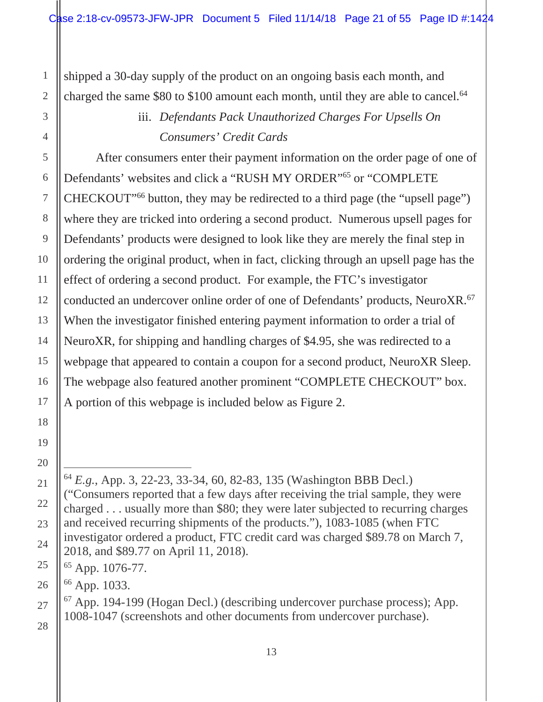charged the same \$80 to \$100 amount each month, until they are able to cancel.<sup>64</sup> shipped a 30-day supply of the product on an ongoing basis each month, and

## iii. *Defendants Pack Unauthorized Charges For Upsells On Consumers' Credit Cards*

conducted an undercover online order of one of Defendants' products, NeuroXR.<sup>67</sup> After consumers enter their payment information on the order page of one of Defendants' websites and click a "RUSH MY ORDER"65 or "COMPLETE CHECKOUT"66 button, they may be redirected to a third page (the "upsell page") where they are tricked into ordering a second product. Numerous upsell pages for Defendants' products were designed to look like they are merely the final step in ordering the original product, when in fact, clicking through an upsell page has the effect of ordering a second product. For example, the FTC's investigator When the investigator finished entering payment information to order a trial of NeuroXR, for shipping and handling charges of \$4.95, she was redirected to a webpage that appeared to contain a coupon for a second product, NeuroXR Sleep. The webpage also featured another prominent "COMPLETE CHECKOUT" box. A portion of this webpage is included below as Figure 2.

66 App. 1033.

 $67$  App. 194-199 (Hogan Decl.) (describing undercover purchase process); App. 1008-1047 (screenshots and other documents from undercover purchase).

1

2

3

<sup>64</sup>*E.g.*, App. 3, 22-23, 33-34, 60, 82-83, 135 (Washington BBB Decl.) ("Consumers reported that a few days after receiving the trial sample, they were charged . . . usually more than \$80; they were later subjected to recurring charges and received recurring shipments of the products."), 1083-1085 (when FTC investigator ordered a product, FTC credit card was charged \$89.78 on March 7, 2018, and \$89.77 on April 11, 2018).

<sup>65</sup> App. 1076-77.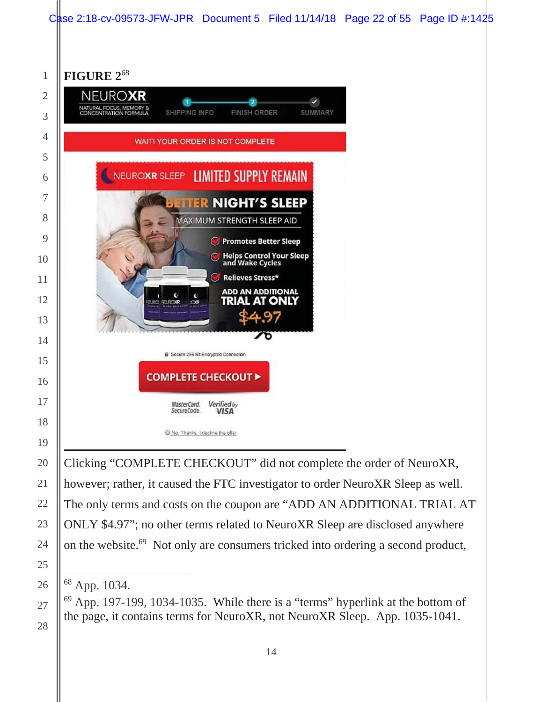

ONLY \$4.97"; no other terms related to NeuroXR Sleep are disclosed anywhere

on the website.69 Not only are consumers tricked into ordering a second product,

 $\overline{a}$ 68 App. 1034.

 App. 197-199, 1034-1035. While there is a "terms" hyperlink at the bottom of the page, it contains terms for NeuroXR, not NeuroXR Sleep. App. 1035-1041.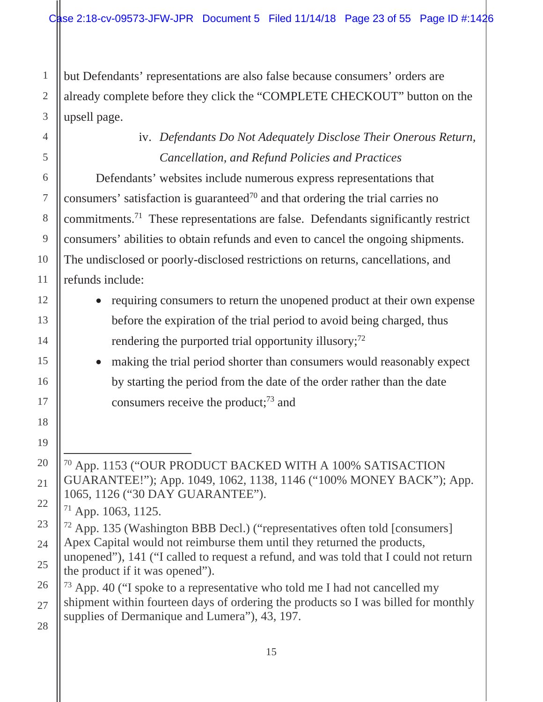but Defendants' representations are also false because consumers' orders are already complete before they click the "COMPLETE CHECKOUT" button on the upsell page.

## iv. *Defendants Do Not Adequately Disclose Their Onerous Return, Cancellation, and Refund Policies and Practices*

Defendants' websites include numerous express representations that consumers' satisfaction is guaranteed<sup>70</sup> and that ordering the trial carries no commitments.71 These representations are false. Defendants significantly restrict consumers' abilities to obtain refunds and even to cancel the ongoing shipments. The undisclosed or poorly-disclosed restrictions on returns, cancellations, and refunds include:

- requiring consumers to return the unopened product at their own expense before the expiration of the trial period to avoid being charged, thus rendering the purported trial opportunity illusory; $^{72}$
- making the trial period shorter than consumers would reasonably expect by starting the period from the date of the order rather than the date consumers receive the product;<sup>73</sup> and

 $\overline{a}$ 70 App. 1153 ("OUR PRODUCT BACKED WITH A 100% SATISACTION GUARANTEE!"); App. 1049, 1062, 1138, 1146 ("100% MONEY BACK"); App. 1065, 1126 ("30 DAY GUARANTEE").

71 App. 1063, 1125.

72 App. 135 (Washington BBB Decl.) ("representatives often told [consumers] Apex Capital would not reimburse them until they returned the products, unopened"), 141 ("I called to request a refund, and was told that I could not return

- the product if it was opened").
- $73$  App. 40 ("I spoke to a representative who told me I had not cancelled my shipment within fourteen days of ordering the products so I was billed for monthly supplies of Dermanique and Lumera"), 43, 197.

## 18 19 20 21 22 23 24 25 26 27 28

1

2

3

4

5

6

7

8

9

10

11

12

13

14

15

16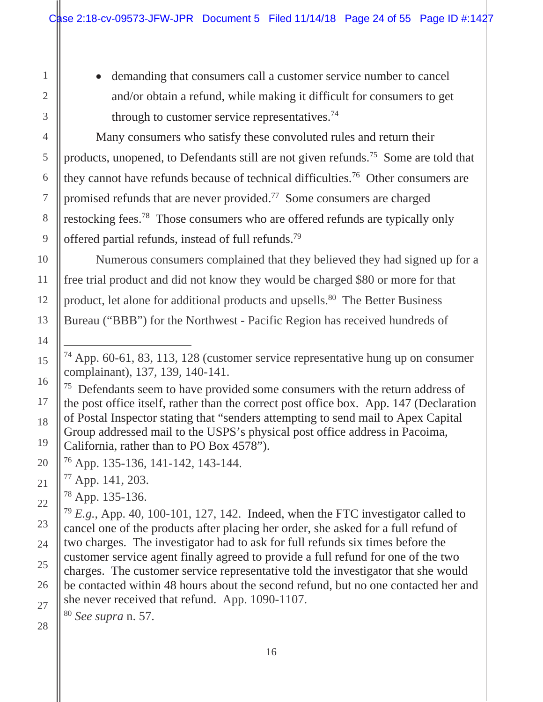through to customer service representatives.<sup>74</sup> • demanding that consumers call a customer service number to cancel and/or obtain a refund, while making it difficult for consumers to get

Many consumers who satisfy these convoluted rules and return their products, unopened, to Defendants still are not given refunds.75 Some are told that they cannot have refunds because of technical difficulties.76 Other consumers are promised refunds that are never provided.77 Some consumers are charged restocking fees.78 Those consumers who are offered refunds are typically only offered partial refunds, instead of full refunds.79

Numerous consumers complained that they believed they had signed up for a free trial product and did not know they would be charged \$80 or more for that product, let alone for additional products and upsells.<sup>80</sup> The Better Business Bureau ("BBB") for the Northwest - Pacific Region has received hundreds of

 $75$  Defendants seem to have provided some consumers with the return address of the post office itself, rather than the correct post office box. App. 147 (Declaration of Postal Inspector stating that "senders attempting to send mail to Apex Capital Group addressed mail to the USPS's physical post office address in Pacoima, California, rather than to PO Box 4578").

<sup>80</sup>*See supra* n. 57.

<sup>74</sup> App. 60-61, 83, 113, 128 (customer service representative hung up on consumer complainant), 137, 139, 140-141.

<sup>76</sup> App. 135-136, 141-142, 143-144.

<sup>77</sup> App. 141, 203.

<sup>78</sup> App. 135-136.

<sup>79</sup>*E.g.*, App. 40, 100-101, 127, 142. Indeed, when the FTC investigator called to cancel one of the products after placing her order, she asked for a full refund of two charges. The investigator had to ask for full refunds six times before the customer service agent finally agreed to provide a full refund for one of the two charges. The customer service representative told the investigator that she would be contacted within 48 hours about the second refund, but no one contacted her and she never received that refund. App. 1090-1107.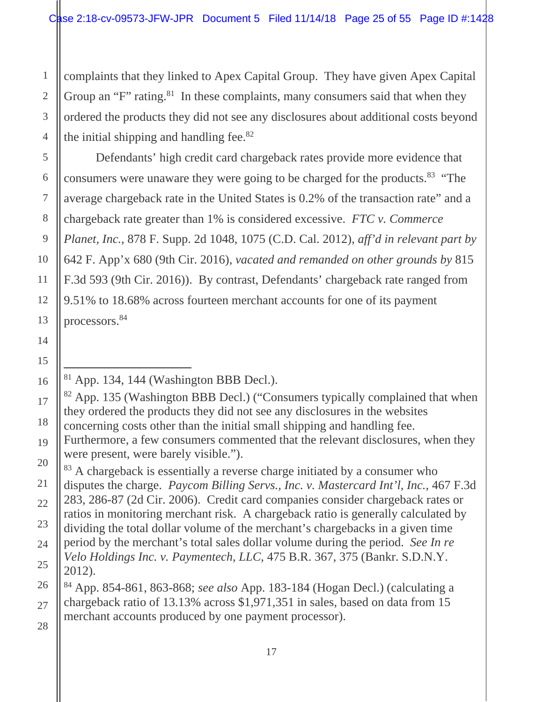the initial shipping and handling fee. $82$ complaints that they linked to Apex Capital Group. They have given Apex Capital Group an "F" rating.<sup>81</sup> In these complaints, many consumers said that when they ordered the products they did not see any disclosures about additional costs beyond

 processors.84 Defendants' high credit card chargeback rates provide more evidence that consumers were unaware they were going to be charged for the products.83 "The average chargeback rate in the United States is 0.2% of the transaction rate" and a chargeback rate greater than 1% is considered excessive. *FTC v. Commerce Planet, Inc.*, 878 F. Supp. 2d 1048, 1075 (C.D. Cal. 2012), *aff'd in relevant part by*  642 F. App'x 680 (9th Cir. 2016), *vacated and remanded on other grounds by* 815 F.3d 593 (9th Cir. 2016)). By contrast, Defendants' chargeback rate ranged from 9.51% to 18.68% across fourteen merchant accounts for one of its payment

<sup>83</sup> A chargeback is essentially a reverse charge initiated by a consumer who disputes the charge. *Paycom Billing Servs., Inc. v. Mastercard Int'l, Inc.*, 467 F.3d 283, 286-87 (2d Cir. 2006). Credit card companies consider chargeback rates or ratios in monitoring merchant risk. A chargeback ratio is generally calculated by dividing the total dollar volume of the merchant's chargebacks in a given time period by the merchant's total sales dollar volume during the period. *See In re Velo Holdings Inc. v. Paymentech, LLC*, 475 B.R. 367, 375 (Bankr. S.D.N.Y. 2012).

84 App. 854-861, 863-868; *see also* App. 183-184 (Hogan Decl.) (calculating a chargeback ratio of 13.13% across \$1,971,351 in sales, based on data from 15 merchant accounts produced by one payment processor).

<span id="page-24-0"></span>1

2

 $\overline{a}$  $81$  App. 134, 144 (Washington BBB Decl.).

<sup>82</sup> App. 135 (Washington BBB Decl.) ("Consumers typically complained that when they ordered the products they did not see any disclosures in the websites concerning costs other than the initial small shipping and handling fee.

Furthermore, a few consumers commented that the relevant disclosures, when they were present, were barely visible.").

<sup>4</sup>  5 6 7 8 9 10 11 12 13 14 15 16 17 18 19 20 21 22 23 24 25 26 27 28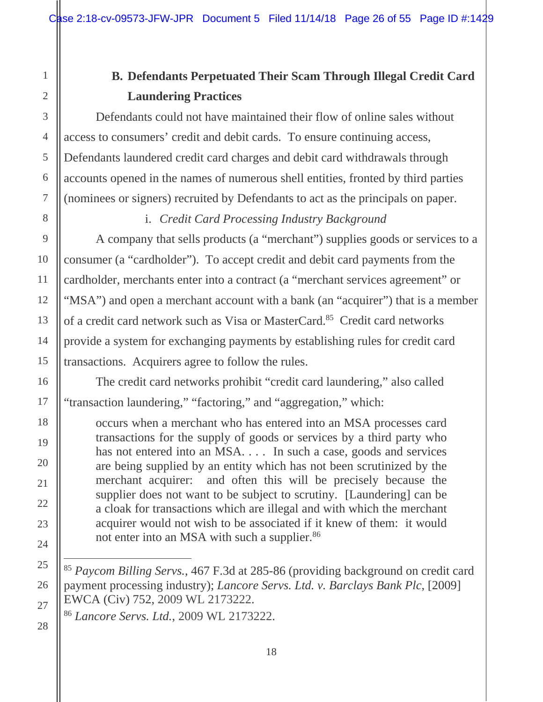## **B. Defendants Perpetuated Their Scam Through Illegal Credit Card Laundering Practices**

<span id="page-25-0"></span>Defendants could not have maintained their flow of online sales without access to consumers' credit and debit cards. To ensure continuing access, Defendants laundered credit card charges and debit card withdrawals through accounts opened in the names of numerous shell entities, fronted by third parties (nominees or signers) recruited by Defendants to act as the principals on paper.

i. *Credit Card Processing Industry Background* 

A company that sells products (a "merchant") supplies goods or services to a consumer (a "cardholder"). To accept credit and debit card payments from the cardholder, merchants enter into a contract (a "merchant services agreement" or "MSA") and open a merchant account with a bank (an "acquirer") that is a member of a credit card network such as Visa or MasterCard.<sup>85</sup> Credit card networks provide a system for exchanging payments by establishing rules for credit card transactions. Acquirers agree to follow the rules.

The credit card networks prohibit "credit card laundering," also called "transaction laundering," "factoring," and "aggregation," which:

not enter into an MSA with such a supplier.<sup>86</sup> occurs when a merchant who has entered into an MSA processes card transactions for the supply of goods or services by a third party who has not entered into an MSA. . . . In such a case, goods and services are being supplied by an entity which has not been scrutinized by the merchant acquirer: and often this will be precisely because the supplier does not want to be subject to scrutiny. [Laundering] can be a cloak for transactions which are illegal and with which the merchant acquirer would not wish to be associated if it knew of them: it would

<sup>85</sup>*Paycom Billing Servs.*, 467 F.3d at 285-86 (providing background on credit card payment processing industry); *Lancore Servs. Ltd. v. Barclays Bank Plc*, [2009] EWCA (Civ) 752, 2009 WL 2173222.

<sup>86</sup>*Lancore Servs. Ltd.*, 2009 WL 2173222.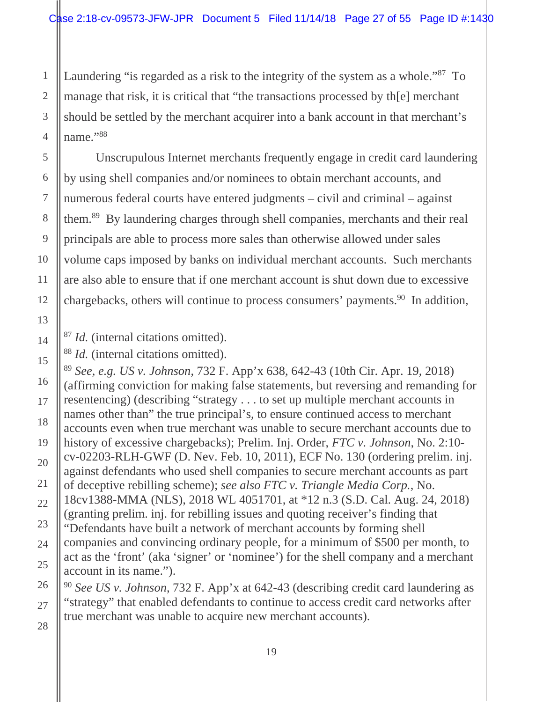name."88 Laundering "is regarded as a risk to the integrity of the system as a whole."<sup>87</sup> To manage that risk, it is critical that "the transactions processed by th[e] merchant should be settled by the merchant acquirer into a bank account in that merchant's

Unscrupulous Internet merchants frequently engage in credit card laundering by using shell companies and/or nominees to obtain merchant accounts, and numerous federal courts have entered judgments – civil and criminal – against them.89 By laundering charges through shell companies, merchants and their real principals are able to process more sales than otherwise allowed under sales volume caps imposed by banks on individual merchant accounts. Such merchants are also able to ensure that if one merchant account is shut down due to excessive chargebacks, others will continue to process consumers' payments.<sup>90</sup> In addition,

<sup>89</sup>*See, e.g. US v. Johnson*, 732 F. App'x 638, 642-43 (10th Cir. Apr. 19, 2018) (affirming conviction for making false statements, but reversing and remanding for resentencing) (describing "strategy . . . to set up multiple merchant accounts in names other than" the true principal's, to ensure continued access to merchant accounts even when true merchant was unable to secure merchant accounts due to history of excessive chargebacks); Prelim. Inj. Order, *FTC v. Johnson*, No. 2:10 cv-02203-RLH-GWF (D. Nev. Feb. 10, 2011), ECF No. 130 (ordering prelim. inj. against defendants who used shell companies to secure merchant accounts as part of deceptive rebilling scheme); *see also FTC v. Triangle Media Corp.*, No. 18cv1388-MMA (NLS), 2018 WL 4051701, at \*12 n.3 (S.D. Cal. Aug. 24, 2018) (granting prelim. inj. for rebilling issues and quoting receiver's finding that "Defendants have built a network of merchant accounts by forming shell companies and convincing ordinary people, for a minimum of \$500 per month, to act as the 'front' (aka 'signer' or 'nominee') for the shell company and a merchant account in its name.").

<sup>90</sup>*See US v. Johnson*, 732 F. App'x at 642-43 (describing credit card laundering as "strategy" that enabled defendants to continue to access credit card networks after true merchant was unable to acquire new merchant accounts).

<span id="page-26-0"></span>1

<sup>87</sup>*Id.* (internal citations omitted).

<sup>88</sup>*Id.* (internal citations omitted).

<sup>2</sup>  3 4 5 6 7 8 9 10 11 12 13 14 15 16 17 18 19 20 21 22 23 24 25 26 27 28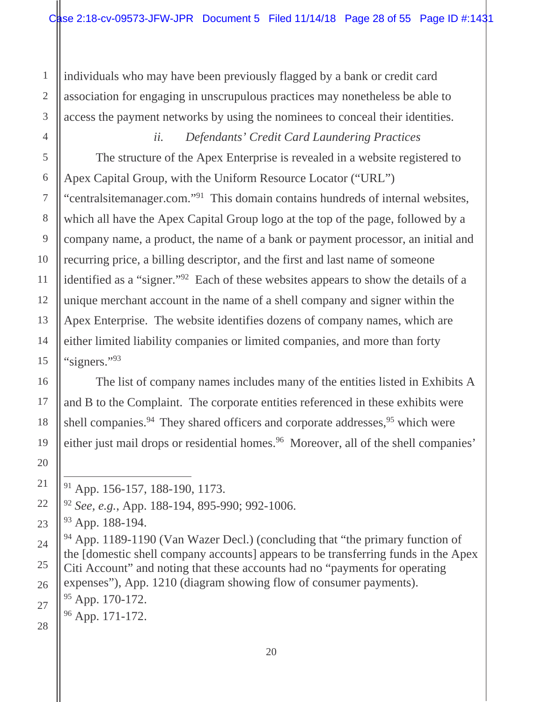individuals who may have been previously flagged by a bank or credit card association for engaging in unscrupulous practices may nonetheless be able to access the payment networks by using the nominees to conceal their identities.

"signers."93 *ii. Defendants' Credit Card Laundering Practices*  The structure of the Apex Enterprise is revealed in a website registered to Apex Capital Group, with the Uniform Resource Locator ("URL") "centralsitemanager.com."91 This domain contains hundreds of internal websites, which all have the Apex Capital Group logo at the top of the page, followed by a company name, a product, the name of a bank or payment processor, an initial and recurring price, a billing descriptor, and the first and last name of someone identified as a "signer."92 Each of these websites appears to show the details of a unique merchant account in the name of a shell company and signer within the Apex Enterprise. The website identifies dozens of company names, which are either limited liability companies or limited companies, and more than forty

The list of company names includes many of the entities listed in Exhibits A and B to the Complaint. The corporate entities referenced in these exhibits were shell companies.<sup>94</sup> They shared officers and corporate addresses,<sup>95</sup> which were either just mail drops or residential homes.<sup>96</sup> Moreover, all of the shell companies'

 $\overline{a}$ 

94 App. 1189-1190 (Van Wazer Decl.) (concluding that "the primary function of the [domestic shell company accounts] appears to be transferring funds in the Apex Citi Account" and noting that these accounts had no "payments for operating expenses"), App. 1210 (diagram showing flow of consumer payments).

95 App. 170-172.

 $96$  App. 171-172.

<sup>91</sup> App. 156-157, 188-190, 1173.

<sup>92</sup>*See, e.g.*, App. 188-194, 895-990; 992-1006.

<sup>93</sup> App. 188-194.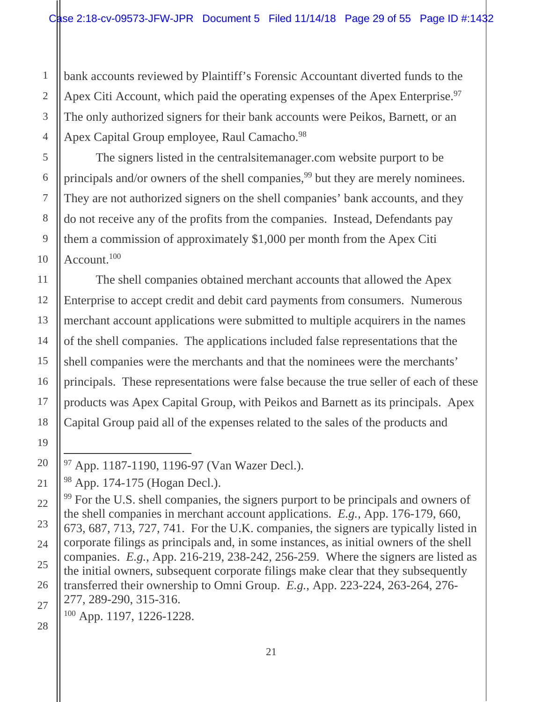Apex Citi Account, which paid the operating expenses of the Apex Enterprise.<sup>97</sup> Apex Capital Group employee, Raul Camacho.<sup>98</sup> bank accounts reviewed by Plaintiff's Forensic Accountant diverted funds to the The only authorized signers for their bank accounts were Peikos, Barnett, or an

Account.<sup>100</sup> The signers listed in the centralsitemanager.com website purport to be principals and/or owners of the shell companies,<sup>99</sup> but they are merely nominees. They are not authorized signers on the shell companies' bank accounts, and they do not receive any of the profits from the companies. Instead, Defendants pay them a commission of approximately \$1,000 per month from the Apex Citi

The shell companies obtained merchant accounts that allowed the Apex Enterprise to accept credit and debit card payments from consumers. Numerous merchant account applications were submitted to multiple acquirers in the names of the shell companies. The applications included false representations that the shell companies were the merchants and that the nominees were the merchants' principals. These representations were false because the true seller of each of these products was Apex Capital Group, with Peikos and Barnett as its principals. Apex Capital Group paid all of the expenses related to the sales of the products and

100 App. 1197, 1226-1228.

<sup>97</sup> App. 1187-1190, 1196-97 (Van Wazer Decl.).

<sup>98</sup> App. 174-175 (Hogan Decl.).

<sup>&</sup>lt;sup>99</sup> For the U.S. shell companies, the signers purport to be principals and owners of the shell companies in merchant account applications. *E.g.*, App. 176-179, 660, 673, 687, 713, 727, 741. For the U.K. companies, the signers are typically listed in corporate filings as principals and, in some instances, as initial owners of the shell companies. *E.g.*, App. 216-219, 238-242, 256-259. Where the signers are listed as the initial owners, subsequent corporate filings make clear that they subsequently transferred their ownership to Omni Group. *E.g.*, App. 223-224, 263-264, 276- 277, 289-290, 315-316.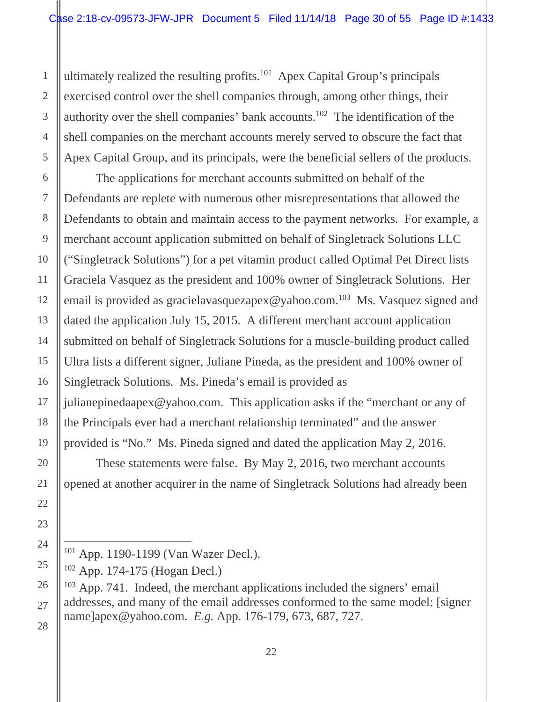ultimately realized the resulting profits.101 Apex Capital Group's principals exercised control over the shell companies through, among other things, their authority over the shell companies' bank accounts.102 The identification of the shell companies on the merchant accounts merely served to obscure the fact that Apex Capital Group, and its principals, were the beneficial sellers of the products.

The applications for merchant accounts submitted on behalf of the Defendants are replete with numerous other misrepresentations that allowed the Defendants to obtain and maintain access to the payment networks. For example, a merchant account application submitted on behalf of Singletrack Solutions LLC ("Singletrack Solutions") for a pet vitamin product called Optimal Pet Direct lists Graciela Vasquez as the president and 100% owner of Singletrack Solutions. Her email is provided as gracielavasquezapex@yahoo.com.<sup>103</sup> Ms. Vasquez signed and dated the application July 15, 2015. A different merchant account application submitted on behalf of Singletrack Solutions for a muscle-building product called Ultra lists a different signer, Juliane Pineda, as the president and 100% owner of Singletrack Solutions. Ms. Pineda's email is provided as julianepinedaapex@yahoo.com. This application asks if the "merchant or any of the Principals ever had a merchant relationship terminated" and the answer

provided is "No." Ms. Pineda signed and dated the application May 2, 2016.

These statements were false. By May 2, 2016, two merchant accounts opened at another acquirer in the name of Singletrack Solutions had already been

<sup>101</sup> App. 1190-1199 (Van Wazer Decl.).

<sup>102</sup> App. 174-175 (Hogan Decl.)

<sup>&</sup>lt;sup>103</sup> App. 741. Indeed, the merchant applications included the signers' email addresses, and many of the email addresses conformed to the same model: [signer name]apex@yahoo.com. *E.g.* App. 176-179, 673, 687, 727.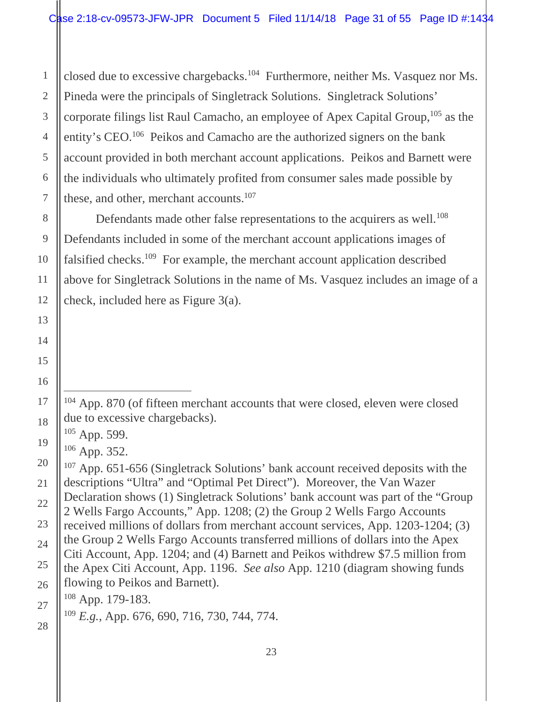these, and other, merchant accounts.<sup>107</sup> closed due to excessive chargebacks.104 Furthermore, neither Ms. Vasquez nor Ms. Pineda were the principals of Singletrack Solutions. Singletrack Solutions' corporate filings list Raul Camacho, an employee of Apex Capital Group,  $105$  as the entity's CEO.106 Peikos and Camacho are the authorized signers on the bank account provided in both merchant account applications. Peikos and Barnett were the individuals who ultimately profited from consumer sales made possible by

Defendants made other false representations to the acquirers as well.<sup>108</sup> Defendants included in some of the merchant account applications images of falsified checks.109 For example, the merchant account application described above for Singletrack Solutions in the name of Ms. Vasquez includes an image of a check, included here as Figure 3(a).

 $105$  App. 599.

 $106$  App. 352.

107 App. 651-656 (Singletrack Solutions' bank account received deposits with the descriptions "Ultra" and "Optimal Pet Direct"). Moreover, the Van Wazer Declaration shows (1) Singletrack Solutions' bank account was part of the "Group 2 Wells Fargo Accounts," App. 1208; (2) the Group 2 Wells Fargo Accounts received millions of dollars from merchant account services, App. 1203-1204; (3) the Group 2 Wells Fargo Accounts transferred millions of dollars into the Apex Citi Account, App. 1204; and (4) Barnett and Peikos withdrew \$7.5 million from the Apex Citi Account, App. 1196. *See also* App. 1210 (diagram showing funds flowing to Peikos and Barnett).

108 App. 179-183.

<sup>109</sup>*E.g.*, App. 676, 690, 716, 730, 744, 774.

<sup>&</sup>lt;sup>104</sup> App. 870 (of fifteen merchant accounts that were closed, eleven were closed due to excessive chargebacks).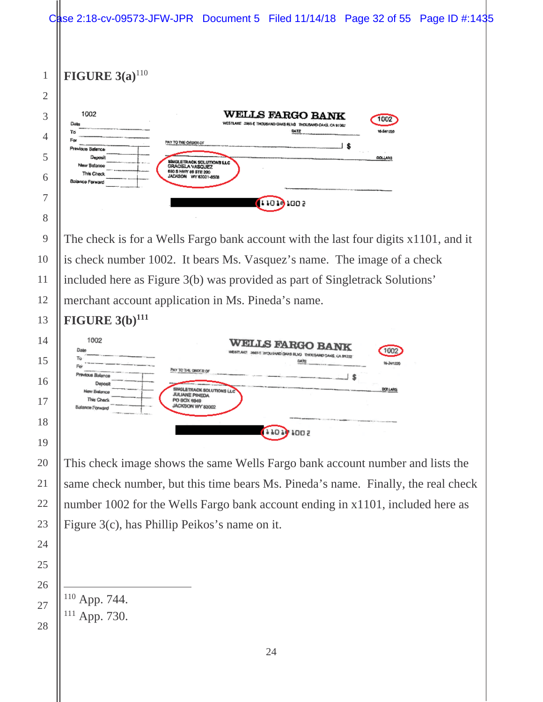

 App. 744. 111 App. 730.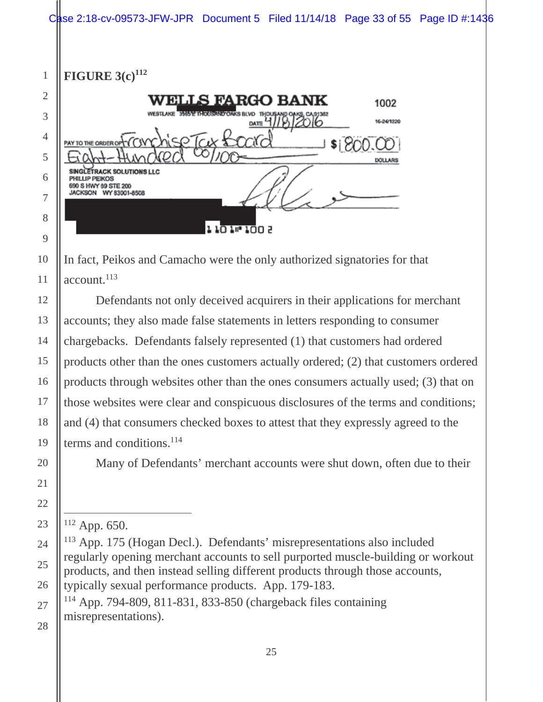**FIGURE 3(c)<sup>112</sup>** 



account.<sup>113</sup> In fact, Peikos and Camacho were the only authorized signatories for that

Defendants not only deceived acquirers in their applications for merchant accounts; they also made false statements in letters responding to consumer chargebacks. Defendants falsely represented (1) that customers had ordered products other than the ones customers actually ordered; (2) that customers ordered products through websites other than the ones consumers actually used; (3) that on those websites were clear and conspicuous disclosures of the terms and conditions; and (4) that consumers checked boxes to attest that they expressly agreed to the terms and conditions.<sup>114</sup>

Many of Defendants' merchant accounts were shut down, often due to their

114 App. 794-809, 811-831, 833-850 (chargeback files containing misrepresentations).

 $\overline{a}$ 112 App. 650.

<sup>113</sup> App. 175 (Hogan Decl.). Defendants' misrepresentations also included regularly opening merchant accounts to sell purported muscle-building or workout products, and then instead selling different products through those accounts, typically sexual performance products. App. 179-183.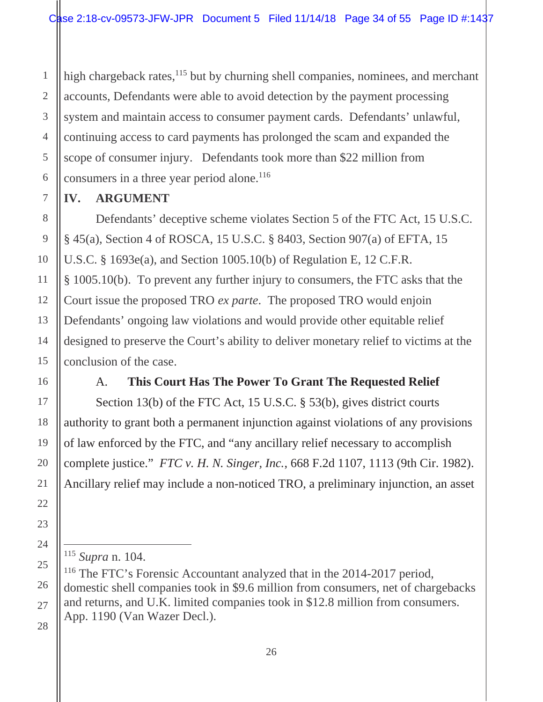<span id="page-33-0"></span>high chargeback rates,<sup>115</sup> but by churning shell companies, nominees, and merchant accounts, Defendants were able to avoid detection by the payment processing system and maintain access to consumer payment cards. Defendants' unlawful, continuing access to card payments has prolonged the scam and expanded the scope of consumer injury. Defendants took more than \$22 million from consumers in a three year period alone.<sup>116</sup>

## **IV. ARGUMENT**

Defendants' deceptive scheme violates Section 5 of the FTC Act, 15 U.S.C. § 45(a), Section 4 of ROSCA, 15 U.S.C. § 8403, Section 907(a) of EFTA, 15 U.S.C. § 1693e(a), and Section 1005.10(b) of Regulation E, 12 C.F.R. § 1005.10(b). To prevent any further injury to consumers, the FTC asks that the Court issue the proposed TRO *ex parte*. The proposed TRO would enjoin Defendants' ongoing law violations and would provide other equitable relief designed to preserve the Court's ability to deliver monetary relief to victims at the conclusion of the case.

## A. **This Court Has The Power To Grant The Requested Relief**

Section 13(b) of the FTC Act, 15 U.S.C. § 53(b), gives district courts authority to grant both a permanent injunction against violations of any provisions of law enforced by the FTC, and "any ancillary relief necessary to accomplish complete justice." *FTC v. H. N. Singer, Inc.*, 668 F.2d 1107, 1113 (9th Cir. 1982). Ancillary relief may include a non-noticed TRO, a preliminary injunction, an asset

<sup>115</sup>*Supra* n. 104.

<sup>&</sup>lt;sup>116</sup> The FTC's Forensic Accountant analyzed that in the 2014-2017 period, domestic shell companies took in \$9.6 million from consumers, net of chargebacks and returns, and U.K. limited companies took in \$12.8 million from consumers. App. 1190 (Van Wazer Decl.).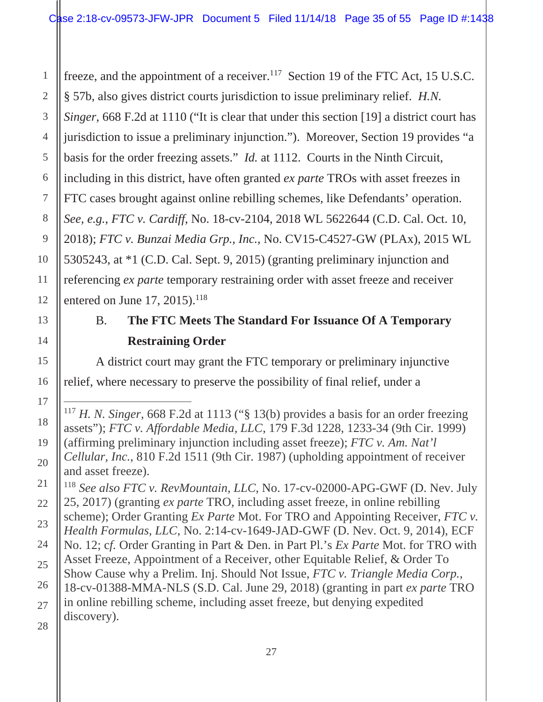freeze, and the appointment of a receiver.<sup>117</sup> Section 19 of the FTC Act, 15 U.S.C.

§ 57b, also gives district courts jurisdiction to issue preliminary relief. *H.N.* 

*Singer*, 668 F.2d at 1110 ("It is clear that under this section [19] a district court has

4 jurisdiction to issue a preliminary injunction."). Moreover, Section 19 provides "a

basis for the order freezing assets." *Id.* at 1112. Courts in the Ninth Circuit,

including in this district, have often granted *ex parte* TROs with asset freezes in

FTC cases brought against online rebilling schemes, like Defendants' operation.

*See, e.g.*, *FTC v. Cardiff*, No. 18-cv-2104, 2018 WL 5622644 (C.D. Cal. Oct. 10,

2018); *FTC v. Bunzai Media Grp., Inc.*, No. CV15-C4527-GW (PLAx), 2015 WL

10 12 5305243, at \*1 (C.D. Cal. Sept. 9, 2015) (granting preliminary injunction and referencing *ex parte* temporary restraining order with asset freeze and receiver entered on June 17, 2015).<sup>118</sup>

## B. **The FTC Meets The Standard For Issuance Of A Temporary Restraining Order**

A district court may grant the FTC temporary or preliminary injunctive relief, where necessary to preserve the possibility of final relief, under a

<sup>118</sup>*See also FTC v. RevMountain, LLC*, No. 17-cv-02000-APG-GWF (D. Nev. July 25, 2017) (granting *ex parte* TRO, including asset freeze, in online rebilling scheme); Order Granting *Ex Parte* Mot. For TRO and Appointing Receiver, *FTC v. Health Formulas, LLC*, No. 2:14-cv-1649-JAD-GWF (D. Nev. Oct. 9, 2014), ECF No. 12; c*f.* Order Granting in Part & Den. in Part Pl.'s *Ex Parte* Mot. for TRO with Asset Freeze, Appointment of a Receiver, other Equitable Relief, & Order To Show Cause why a Prelim. Inj. Should Not Issue, *FTC v. Triangle Media Corp.*, 18-cv-01388-MMA-NLS (S.D. Cal. June 29, 2018) (granting in part *ex parte* TRO in online rebilling scheme, including asset freeze, but denying expedited discovery).

 $\overline{a}$ 

<span id="page-34-0"></span>1

2

3

5

6

7

8

9

11

13

14

15

16

17

18

19

20

21

22

23

24

25

26

27

<sup>117</sup>*H. N. Singer*, 668 F.2d at 1113 ("§ 13(b) provides a basis for an order freezing assets"); *FTC v. Affordable Media, LLC*, 179 F.3d 1228, 1233-34 (9th Cir. 1999) (affirming preliminary injunction including asset freeze); *FTC v. Am. Nat'l Cellular, Inc.*, 810 F.2d 1511 (9th Cir. 1987) (upholding appointment of receiver and asset freeze).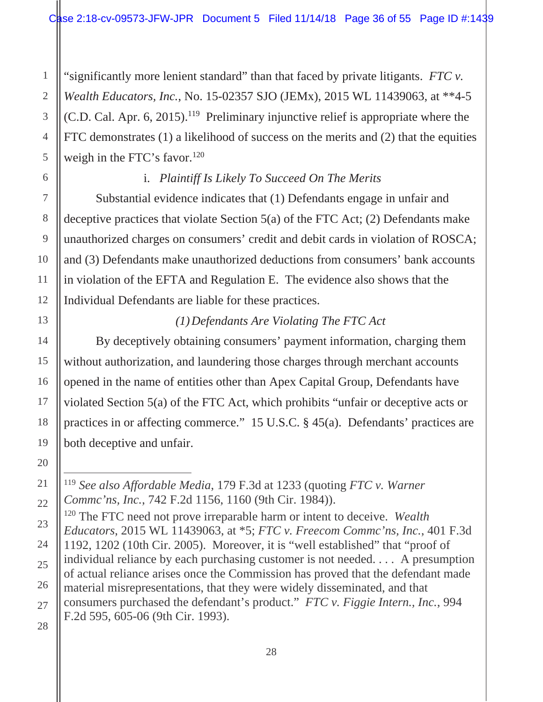<span id="page-35-0"></span>weigh in the FTC's favor. $120$ "significantly more lenient standard" than that faced by private litigants. *FTC v. Wealth Educators, Inc.*, No. 15-02357 SJO (JEMx), 2015 WL 11439063, at \*\*4-5  $(C.D. Cal. Apr. 6, 2015).$ <sup>119</sup> Preliminary injunctive relief is appropriate where the FTC demonstrates (1) a likelihood of success on the merits and (2) that the equities

## i. *Plaintiff Is Likely To Succeed On The Merits*

Substantial evidence indicates that (1) Defendants engage in unfair and deceptive practices that violate Section 5(a) of the FTC Act; (2) Defendants make unauthorized charges on consumers' credit and debit cards in violation of ROSCA; and (3) Defendants make unauthorized deductions from consumers' bank accounts in violation of the EFTA and Regulation E. The evidence also shows that the Individual Defendants are liable for these practices.

## *(1) Defendants Are Violating The FTC Act*

By deceptively obtaining consumers' payment information, charging them without authorization, and laundering those charges through merchant accounts opened in the name of entities other than Apex Capital Group, Defendants have violated Section 5(a) of the FTC Act, which prohibits "unfair or deceptive acts or practices in or affecting commerce." 15 U.S.C. § 45(a). Defendants' practices are both deceptive and unfair.

 $\overline{a}$  <sup>119</sup>*See also Affordable Media*, 179 F.3d at 1233 (quoting *FTC v. Warner Commc'ns, Inc.*, 742 F.2d 1156, 1160 (9th Cir. 1984)).

<sup>120</sup> The FTC need not prove irreparable harm or intent to deceive. *Wealth Educators*, 2015 WL 11439063, at \*5; *FTC v. Freecom Commc'ns, Inc.*, 401 F.3d 1192, 1202 (10th Cir. 2005). Moreover, it is "well established" that "proof of individual reliance by each purchasing customer is not needed. . . . A presumption of actual reliance arises once the Commission has proved that the defendant made material misrepresentations, that they were widely disseminated, and that consumers purchased the defendant's product." *FTC v. Figgie Intern., Inc.*, 994 F.2d 595, 605-06 (9th Cir. 1993).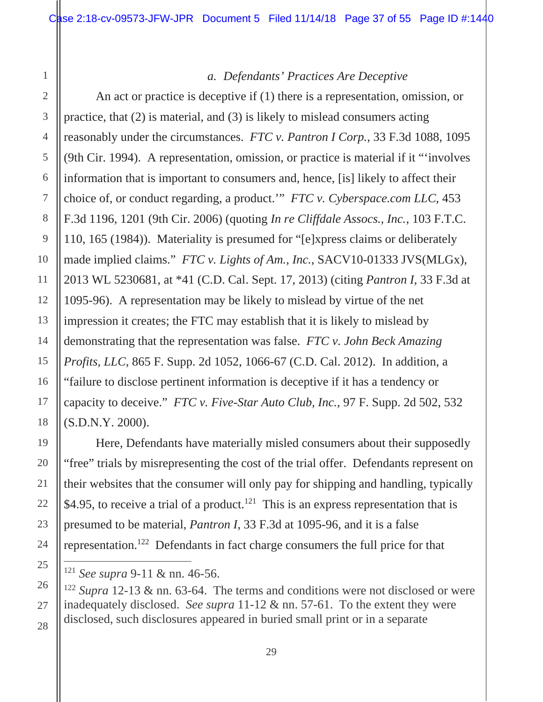#### *a. Defendants' Practices Are Deceptive*

<span id="page-36-0"></span>An act or practice is deceptive if (1) there is a representation, omission, or practice, that (2) is material, and (3) is likely to mislead consumers acting reasonably under the circumstances. *FTC v. Pantron I Corp.*, 33 F.3d 1088, 1095 (9th Cir. 1994). A representation, omission, or practice is material if it "'involves information that is important to consumers and, hence, [is] likely to affect their choice of, or conduct regarding, a product.'" *FTC v. Cyberspace.com LLC*, 453 F.3d 1196, 1201 (9th Cir. 2006) (quoting *In re Cliffdale Assocs., Inc.*, 103 F.T.C. 110, 165 (1984)). Materiality is presumed for "[e]xpress claims or deliberately made implied claims." *FTC v. Lights of Am., Inc.*, SACV10-01333 JVS(MLGx), 2013 WL 5230681, at \*41 (C.D. Cal. Sept. 17, 2013) (citing *Pantron I*, 33 F.3d at 1095-96). A representation may be likely to mislead by virtue of the net impression it creates; the FTC may establish that it is likely to mislead by demonstrating that the representation was false. *FTC v. John Beck Amazing Profits, LLC*, 865 F. Supp. 2d 1052, 1066-67 (C.D. Cal. 2012). In addition, a "failure to disclose pertinent information is deceptive if it has a tendency or capacity to deceive." *FTC v. Five-Star Auto Club, Inc.*, 97 F. Supp. 2d 502, 532 (S.D.N.Y. 2000).

Here, Defendants have materially misled consumers about their supposedly "free" trials by misrepresenting the cost of the trial offer. Defendants represent on their websites that the consumer will only pay for shipping and handling, typically \$4.95, to receive a trial of a product.<sup>121</sup> This is an express representation that is presumed to be material, *Pantron I*, 33 F.3d at 1095-96, and it is a false representation.122 Defendants in fact charge consumers the full price for that

<sup>121</sup>*See supra* 9-11 & nn. 46-56.

<sup>122</sup>*Supra* 12-13 & nn. 63-64. The terms and conditions were not disclosed or were inadequately disclosed. *See supra* 11-12 & nn. 57-61. To the extent they were disclosed, such disclosures appeared in buried small print or in a separate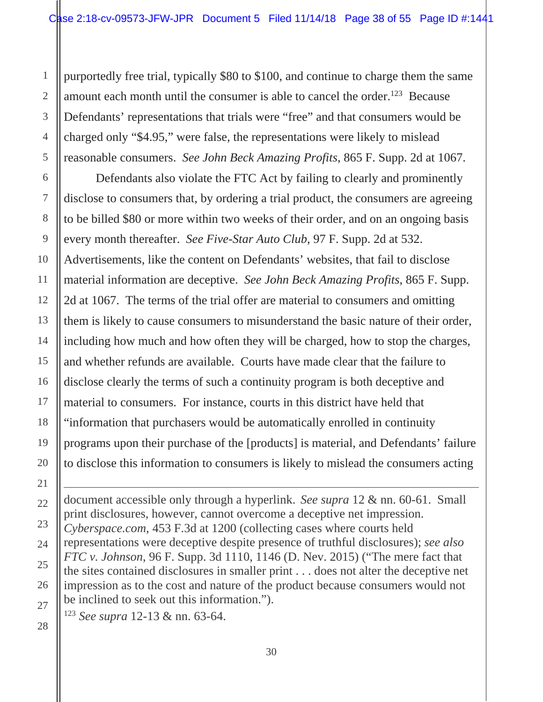purportedly free trial, typically \$80 to \$100, and continue to charge them the same amount each month until the consumer is able to cancel the order.<sup>123</sup> Because Defendants' representations that trials were "free" and that consumers would be charged only "\$4.95," were false, the representations were likely to mislead reasonable consumers. *See John Beck Amazing Profits*, 865 F. Supp. 2d at 1067.

Defendants also violate the FTC Act by failing to clearly and prominently disclose to consumers that, by ordering a trial product, the consumers are agreeing to be billed \$80 or more within two weeks of their order, and on an ongoing basis every month thereafter. *See Five-Star Auto Club*, 97 F. Supp. 2d at 532. Advertisements, like the content on Defendants' websites, that fail to disclose material information are deceptive. *See John Beck Amazing Profits*, 865 F. Supp. 2d at 1067. The terms of the trial offer are material to consumers and omitting them is likely to cause consumers to misunderstand the basic nature of their order, including how much and how often they will be charged, how to stop the charges, and whether refunds are available. Courts have made clear that the failure to disclose clearly the terms of such a continuity program is both deceptive and material to consumers. For instance, courts in this district have held that "information that purchasers would be automatically enrolled in continuity programs upon their purchase of the [products] is material, and Defendants' failure to disclose this information to consumers is likely to mislead the consumers acting

document accessible only through a hyperlink. *See supra* 12 & nn. 60-61. Small print disclosures, however, cannot overcome a deceptive net impression. *Cyberspace.com*, 453 F.3d at 1200 (collecting cases where courts held representations were deceptive despite presence of truthful disclosures); *see also FTC v. Johnson*, 96 F. Supp. 3d 1110, 1146 (D. Nev. 2015) ("The mere fact that the sites contained disclosures in smaller print . . . does not alter the deceptive net impression as to the cost and nature of the product because consumers would not be inclined to seek out this information.").

<sup>123</sup>*See supra* 12-13 & nn. 63-64.

<span id="page-37-0"></span>1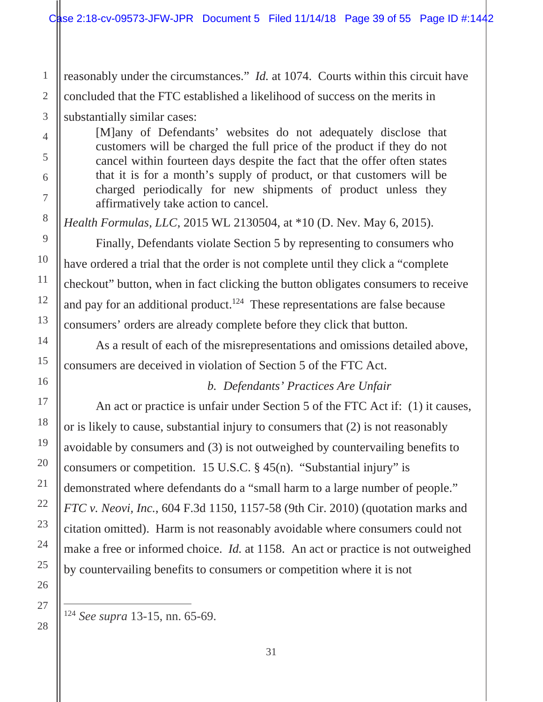<span id="page-38-0"></span>reasonably under the circumstances." *Id.* at 1074. Courts within this circuit have concluded that the FTC established a likelihood of success on the merits in

substantially similar cases:

[M]any of Defendants' websites do not adequately disclose that customers will be charged the full price of the product if they do not cancel within fourteen days despite the fact that the offer often states that it is for a month's supply of product, or that customers will be charged periodically for new shipments of product unless they affirmatively take action to cancel.

*Health Formulas, LLC*, 2015 WL 2130504, at \*10 (D. Nev. May 6, 2015).

Finally, Defendants violate Section 5 by representing to consumers who have ordered a trial that the order is not complete until they click a "complete checkout" button, when in fact clicking the button obligates consumers to receive and pay for an additional product.<sup>124</sup> These representations are false because consumers' orders are already complete before they click that button.

As a result of each of the misrepresentations and omissions detailed above, consumers are deceived in violation of Section 5 of the FTC Act.

## *b. Defendants' Practices Are Unfair*

An act or practice is unfair under Section 5 of the FTC Act if: (1) it causes, or is likely to cause, substantial injury to consumers that (2) is not reasonably avoidable by consumers and (3) is not outweighed by countervailing benefits to consumers or competition. 15 U.S.C. § 45(n). "Substantial injury" is demonstrated where defendants do a "small harm to a large number of people." *FTC v. Neovi, Inc.*, 604 F.3d 1150, 1157-58 (9th Cir. 2010) (quotation marks and citation omitted). Harm is not reasonably avoidable where consumers could not make a free or informed choice. *Id.* at 1158. An act or practice is not outweighed by countervailing benefits to consumers or competition where it is not

<sup>124</sup>*See supra* 13-15, nn. 65-69.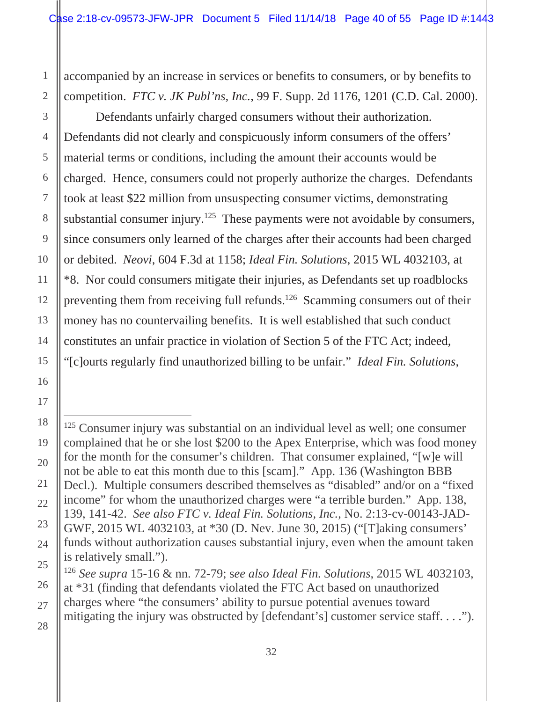<span id="page-39-0"></span>accompanied by an increase in services or benefits to consumers, or by benefits to competition. *FTC v. JK Publ'ns, Inc.*, 99 F. Supp. 2d 1176, 1201 (C.D. Cal. 2000).

Defendants unfairly charged consumers without their authorization. Defendants did not clearly and conspicuously inform consumers of the offers' material terms or conditions, including the amount their accounts would be charged. Hence, consumers could not properly authorize the charges. Defendants took at least \$22 million from unsuspecting consumer victims, demonstrating substantial consumer injury.<sup>125</sup> These payments were not avoidable by consumers, since consumers only learned of the charges after their accounts had been charged or debited. *Neovi*, 604 F.3d at 1158; *Ideal Fin. Solutions*, 2015 WL 4032103, at \*8. Nor could consumers mitigate their injuries, as Defendants set up roadblocks preventing them from receiving full refunds.126 Scamming consumers out of their money has no countervailing benefits. It is well established that such conduct constitutes an unfair practice in violation of Section 5 of the FTC Act; indeed, "[c]ourts regularly find unauthorized billing to be unfair." *Ideal Fin. Solutions*,

<sup>&</sup>lt;sup>125</sup> Consumer injury was substantial on an individual level as well; one consumer complained that he or she lost \$200 to the Apex Enterprise, which was food money for the month for the consumer's children. That consumer explained, "[w]e will not be able to eat this month due to this [scam]." App. 136 (Washington BBB Decl.). Multiple consumers described themselves as "disabled" and/or on a "fixed income" for whom the unauthorized charges were "a terrible burden." App. 138, 139, 141-42. *See also FTC v. Ideal Fin. Solutions, Inc.*, No. 2:13-cv-00143-JAD-GWF, 2015 WL 4032103, at \*30 (D. Nev. June 30, 2015) ("[T]aking consumers' funds without authorization causes substantial injury, even when the amount taken is relatively small.").

<sup>126</sup>*See supra* 15-16 & nn. 72-79; s*ee also Ideal Fin. Solutions*, 2015 WL 4032103, at \*31 (finding that defendants violated the FTC Act based on unauthorized charges where "the consumers' ability to pursue potential avenues toward mitigating the injury was obstructed by [defendant's] customer service staff. . . .").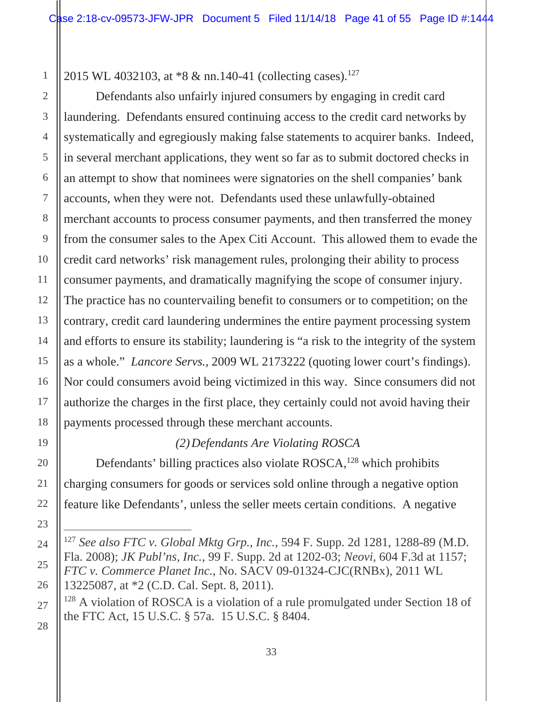<span id="page-40-0"></span>2015 WL 4032103, at \*8 & nn.140-41 (collecting cases).<sup>127</sup>

Defendants also unfairly injured consumers by engaging in credit card laundering. Defendants ensured continuing access to the credit card networks by systematically and egregiously making false statements to acquirer banks. Indeed, in several merchant applications, they went so far as to submit doctored checks in an attempt to show that nominees were signatories on the shell companies' bank accounts, when they were not. Defendants used these unlawfully-obtained merchant accounts to process consumer payments, and then transferred the money from the consumer sales to the Apex Citi Account. This allowed them to evade the credit card networks' risk management rules, prolonging their ability to process consumer payments, and dramatically magnifying the scope of consumer injury. The practice has no countervailing benefit to consumers or to competition; on the contrary, credit card laundering undermines the entire payment processing system and efforts to ensure its stability; laundering is "a risk to the integrity of the system as a whole." *Lancore Servs.*, 2009 WL 2173222 (quoting lower court's findings). Nor could consumers avoid being victimized in this way. Since consumers did not authorize the charges in the first place, they certainly could not avoid having their payments processed through these merchant accounts.

## *(2) Defendants Are Violating ROSCA*

Defendants' billing practices also violate ROSCA,<sup>128</sup> which prohibits charging consumers for goods or services sold online through a negative option feature like Defendants', unless the seller meets certain conditions. A negative

<sup>127</sup>*See also FTC v. Global Mktg Grp., Inc.*, 594 F. Supp. 2d 1281, 1288-89 (M.D. Fla. 2008); *JK Publ'ns, Inc.*, 99 F. Supp. 2d at 1202-03; *Neovi*, 604 F.3d at 1157; *FTC v. Commerce Planet Inc.*, No. SACV 09-01324-CJC(RNBx), 2011 WL 13225087, at \*2 (C.D. Cal. Sept. 8, 2011).

<sup>&</sup>lt;sup>128</sup> A violation of ROSCA is a violation of a rule promulgated under Section 18 of the FTC Act, 15 U.S.C. § 57a. 15 U.S.C. § 8404.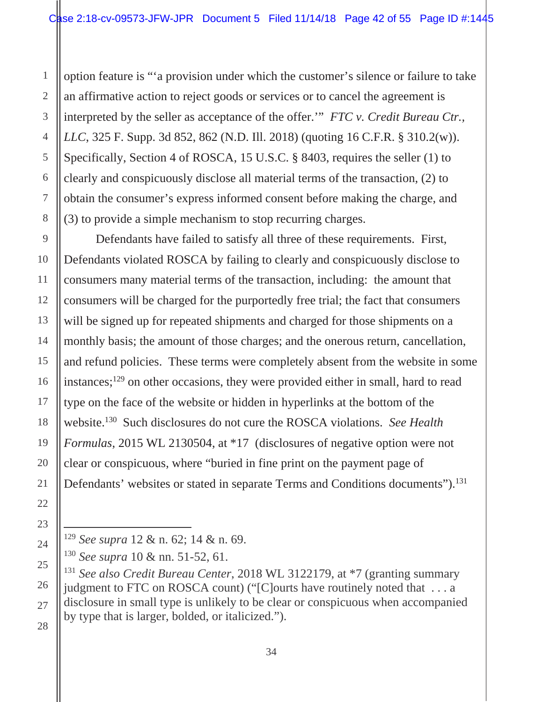<span id="page-41-0"></span>option feature is "'a provision under which the customer's silence or failure to take an affirmative action to reject goods or services or to cancel the agreement is interpreted by the seller as acceptance of the offer.'" *FTC v. Credit Bureau Ctr., LLC*, 325 F. Supp. 3d 852, 862 (N.D. Ill. 2018) (quoting 16 C.F.R. § 310.2(w)). Specifically, Section 4 of ROSCA, 15 U.S.C. § 8403, requires the seller (1) to clearly and conspicuously disclose all material terms of the transaction, (2) to obtain the consumer's express informed consent before making the charge, and (3) to provide a simple mechanism to stop recurring charges.

Defendants' websites or stated in separate Terms and Conditions documents").<sup>131</sup> Defendants have failed to satisfy all three of these requirements. First, Defendants violated ROSCA by failing to clearly and conspicuously disclose to consumers many material terms of the transaction, including: the amount that consumers will be charged for the purportedly free trial; the fact that consumers will be signed up for repeated shipments and charged for those shipments on a monthly basis; the amount of those charges; and the onerous return, cancellation, and refund policies. These terms were completely absent from the website in some instances;129 on other occasions, they were provided either in small, hard to read type on the face of the website or hidden in hyperlinks at the bottom of the website.130 Such disclosures do not cure the ROSCA violations. *See Health Formulas*, 2015 WL 2130504, at \*17 (disclosures of negative option were not clear or conspicuous, where "buried in fine print on the payment page of

<sup>129</sup>*See supra* 12 & n. 62; 14 & n. 69.

<sup>130</sup>*See supra* 10 & nn. 51-52, 61.

 <sup>131</sup>*See also Credit Bureau Center*, 2018 WL 3122179, at \*7 (granting summary judgment to FTC on ROSCA count) ("[C]ourts have routinely noted that . . . a disclosure in small type is unlikely to be clear or conspicuous when accompanied by type that is larger, bolded, or italicized.").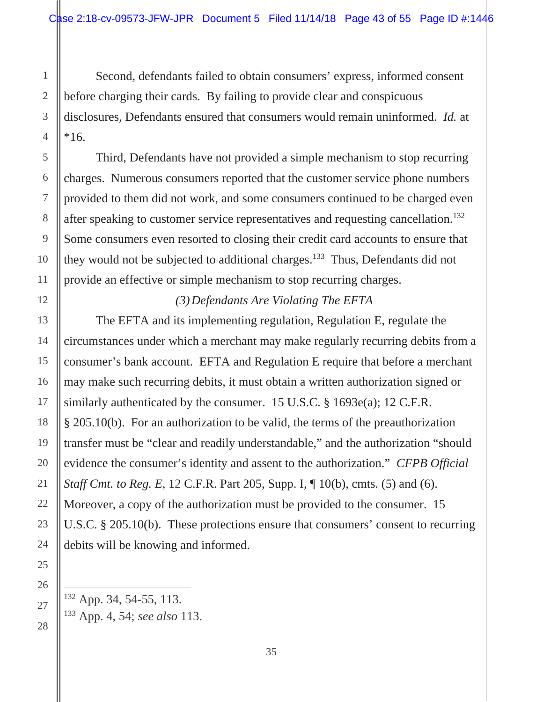<span id="page-42-0"></span>Second, defendants failed to obtain consumers' express, informed consent before charging their cards. By failing to provide clear and conspicuous disclosures, Defendants ensured that consumers would remain uninformed. *Id.* at \*16.

after speaking to customer service representatives and requesting cancellation.<sup>132</sup> Third, Defendants have not provided a simple mechanism to stop recurring charges. Numerous consumers reported that the customer service phone numbers provided to them did not work, and some consumers continued to be charged even Some consumers even resorted to closing their credit card accounts to ensure that they would not be subjected to additional charges.133 Thus, Defendants did not provide an effective or simple mechanism to stop recurring charges.

## *(3) Defendants Are Violating The EFTA*

The EFTA and its implementing regulation, Regulation E, regulate the circumstances under which a merchant may make regularly recurring debits from a consumer's bank account. EFTA and Regulation E require that before a merchant may make such recurring debits, it must obtain a written authorization signed or similarly authenticated by the consumer. 15 U.S.C. § 1693e(a); 12 C.F.R. § 205.10(b). For an authorization to be valid, the terms of the preauthorization transfer must be "clear and readily understandable," and the authorization "should evidence the consumer's identity and assent to the authorization." *CFPB Official Staff Cmt. to Reg. E, 12 C.F.R. Part 205, Supp. I,*  $\parallel$  10(b), cmts. (5) and (6). Moreover, a copy of the authorization must be provided to the consumer. 15 U.S.C. § 205.10(b). These protections ensure that consumers' consent to recurring debits will be knowing and informed.

132 App. 34, 54-55, 113. 133 App. 4, 54; *see also* 113.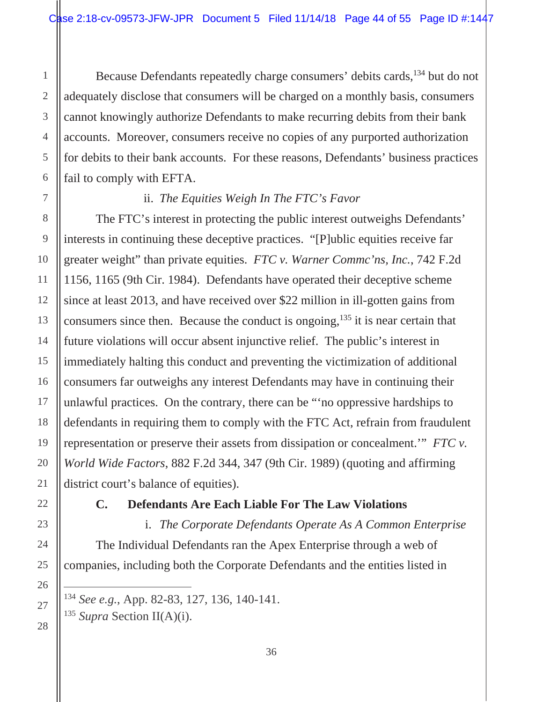<span id="page-43-0"></span>Because Defendants repeatedly charge consumers' debits cards,134 but do not adequately disclose that consumers will be charged on a monthly basis, consumers cannot knowingly authorize Defendants to make recurring debits from their bank accounts. Moreover, consumers receive no copies of any purported authorization for debits to their bank accounts. For these reasons, Defendants' business practices fail to comply with EFTA.

## ii. *The Equities Weigh In The FTC's Favor*

The FTC's interest in protecting the public interest outweighs Defendants' interests in continuing these deceptive practices. "[P]ublic equities receive far greater weight" than private equities. *FTC v. Warner Commc'ns, Inc.*, 742 F.2d 1156, 1165 (9th Cir. 1984). Defendants have operated their deceptive scheme since at least 2013, and have received over \$22 million in ill-gotten gains from consumers since then. Because the conduct is ongoing,<sup>135</sup> it is near certain that future violations will occur absent injunctive relief. The public's interest in immediately halting this conduct and preventing the victimization of additional consumers far outweighs any interest Defendants may have in continuing their unlawful practices. On the contrary, there can be "'no oppressive hardships to defendants in requiring them to comply with the FTC Act, refrain from fraudulent representation or preserve their assets from dissipation or concealment.'" *FTC v. World Wide Factors*, 882 F.2d 344, 347 (9th Cir. 1989) (quoting and affirming district court's balance of equities).

 $\overline{a}$ 

#### **C. Defendants Are Each Liable For The Law Violations**

i. *The Corporate Defendants Operate As A Common Enterprise*  The Individual Defendants ran the Apex Enterprise through a web of companies, including both the Corporate Defendants and the entities listed in

<sup>134</sup>*See e.g.*, App. 82-83, 127, 136, 140-141.

<sup>135</sup>*Supra* Section II(A)(i).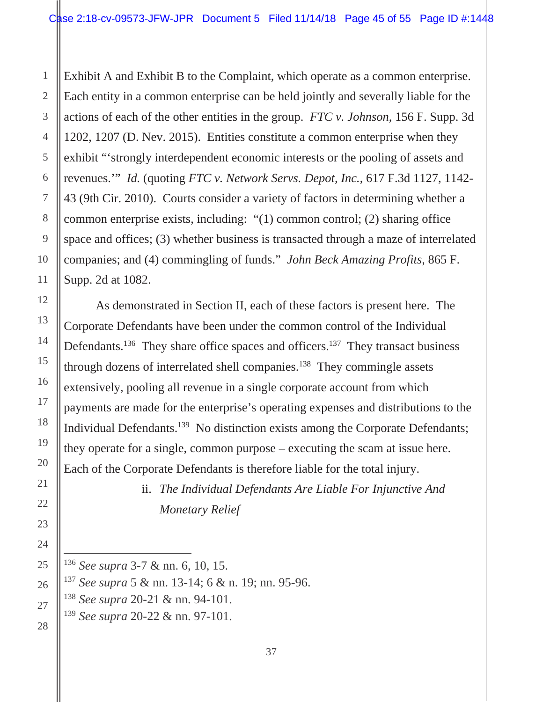<span id="page-44-0"></span>Exhibit A and Exhibit B to the Complaint, which operate as a common enterprise. Each entity in a common enterprise can be held jointly and severally liable for the actions of each of the other entities in the group. *FTC v. Johnson*, 156 F. Supp. 3d 1202, 1207 (D. Nev. 2015). Entities constitute a common enterprise when they exhibit "'strongly interdependent economic interests or the pooling of assets and revenues.'" *Id.* (quoting *FTC v. Network Servs. Depot, Inc.*, 617 F.3d 1127, 1142- 43 (9th Cir. 2010). Courts consider a variety of factors in determining whether a common enterprise exists, including: "(1) common control; (2) sharing office space and offices; (3) whether business is transacted through a maze of interrelated companies; and (4) commingling of funds." *John Beck Amazing Profits*, 865 F. Supp. 2d at 1082.

As demonstrated in Section II, each of these factors is present here. The Corporate Defendants have been under the common control of the Individual Defendants.<sup>136</sup> They share office spaces and officers.<sup>137</sup> They transact business through dozens of interrelated shell companies.138 They commingle assets extensively, pooling all revenue in a single corporate account from which payments are made for the enterprise's operating expenses and distributions to the Individual Defendants.139 No distinction exists among the Corporate Defendants; they operate for a single, common purpose – executing the scam at issue here. Each of the Corporate Defendants is therefore liable for the total injury.

> ii. *The Individual Defendants Are Liable For Injunctive And Monetary Relief*

<sup>137</sup>*See supra* 5 & nn. 13-14; 6 & n. 19; nn. 95-96.

<sup>138</sup>*See supra* 20-21 & nn. 94-101.

<sup>139</sup>*See supra* 20-22 & nn. 97-101.

<sup>136</sup>*See supra* 3-7 & nn. 6, 10, 15.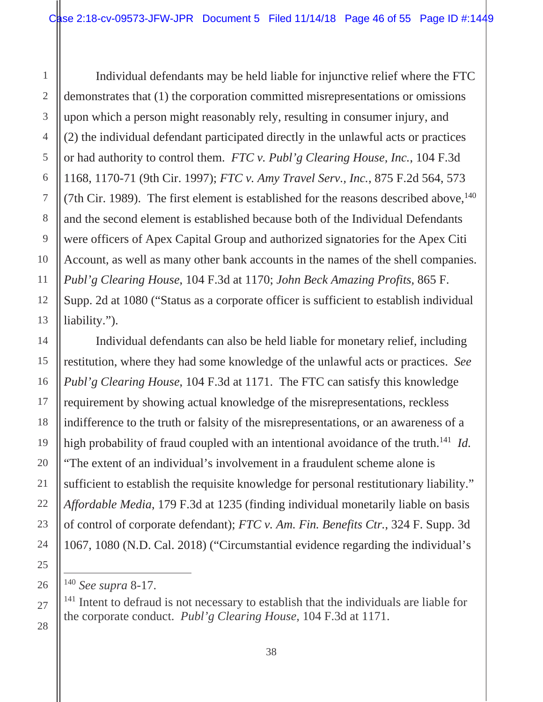<span id="page-45-0"></span>Individual defendants may be held liable for injunctive relief where the FTC demonstrates that (1) the corporation committed misrepresentations or omissions upon which a person might reasonably rely, resulting in consumer injury, and (2) the individual defendant participated directly in the unlawful acts or practices or had authority to control them. *FTC v. Publ'g Clearing House, Inc.*, 104 F.3d 1168, 1170-71 (9th Cir. 1997); *FTC v. Amy Travel Serv., Inc.*, 875 F.2d 564, 573 (7th Cir. 1989). The first element is established for the reasons described above,  $140$ and the second element is established because both of the Individual Defendants were officers of Apex Capital Group and authorized signatories for the Apex Citi Account, as well as many other bank accounts in the names of the shell companies. *Publ'g Clearing House*, 104 F.3d at 1170; *John Beck Amazing Profits,* 865 F. Supp. 2d at 1080 ("Status as a corporate officer is sufficient to establish individual liability.").

high probability of fraud coupled with an intentional avoidance of the truth.<sup>141</sup> *Id.* Individual defendants can also be held liable for monetary relief, including restitution, where they had some knowledge of the unlawful acts or practices. *See Publ'g Clearing House*, 104 F.3d at 1171. The FTC can satisfy this knowledge requirement by showing actual knowledge of the misrepresentations, reckless indifference to the truth or falsity of the misrepresentations, or an awareness of a "The extent of an individual's involvement in a fraudulent scheme alone is sufficient to establish the requisite knowledge for personal restitutionary liability." *Affordable Media*, 179 F.3d at 1235 (finding individual monetarily liable on basis of control of corporate defendant); *FTC v. Am. Fin. Benefits Ctr.*, 324 F. Supp. 3d 1067, 1080 (N.D. Cal. 2018) ("Circumstantial evidence regarding the individual's

<sup>140</sup>*See supra* 8-17.

<sup>&</sup>lt;sup>141</sup> Intent to defraud is not necessary to establish that the individuals are liable for the corporate conduct. *Publ'g Clearing House*, 104 F.3d at 1171.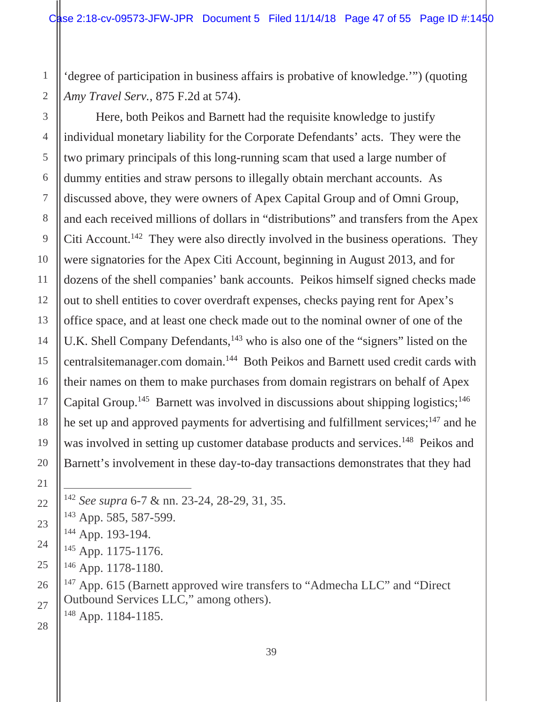<span id="page-46-0"></span>'degree of participation in business affairs is probative of knowledge.'") (quoting *Amy Travel Serv.*, 875 F.2d at 574).

Here, both Peikos and Barnett had the requisite knowledge to justify individual monetary liability for the Corporate Defendants' acts. They were the two primary principals of this long-running scam that used a large number of dummy entities and straw persons to illegally obtain merchant accounts. As discussed above, they were owners of Apex Capital Group and of Omni Group, and each received millions of dollars in "distributions" and transfers from the Apex Citi Account.<sup>142</sup> They were also directly involved in the business operations. They were signatories for the Apex Citi Account, beginning in August 2013, and for dozens of the shell companies' bank accounts. Peikos himself signed checks made out to shell entities to cover overdraft expenses, checks paying rent for Apex's office space, and at least one check made out to the nominal owner of one of the U.K. Shell Company Defendants,<sup>143</sup> who is also one of the "signers" listed on the centralsitemanager.com domain.144 Both Peikos and Barnett used credit cards with their names on them to make purchases from domain registrars on behalf of Apex Capital Group.<sup>145</sup> Barnett was involved in discussions about shipping logistics;<sup>146</sup> he set up and approved payments for advertising and fulfillment services; $147$  and he was involved in setting up customer database products and services.<sup>148</sup> Peikos and Barnett's involvement in these day-to-day transactions demonstrates that they had

<sup>147</sup> App. 615 (Barnett approved wire transfers to "Admecha LLC" and "Direct" Outbound Services LLC," among others).

148 App. 1184-1185.

<sup>142</sup>*See supra* 6-7 & nn. 23-24, 28-29, 31, 35.

<sup>143</sup> App. 585, 587-599.

<sup>144</sup> App. 193-194.

<sup>145</sup> App. 1175-1176.

<sup>146</sup> App. 1178-1180.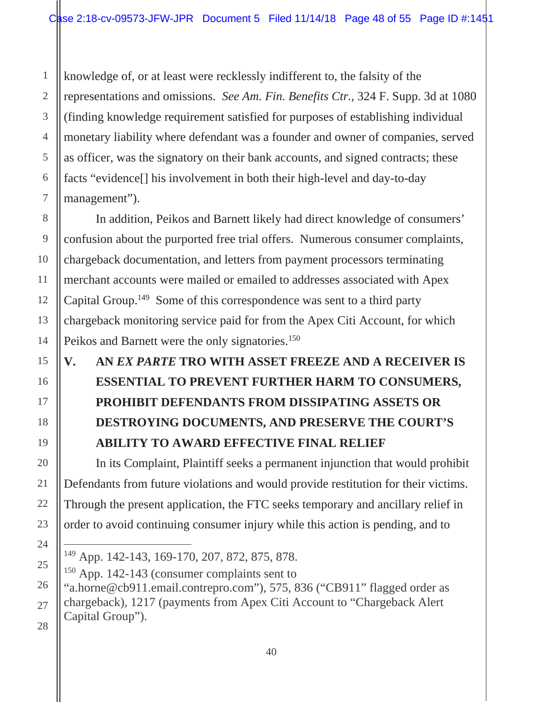knowledge of, or at least were recklessly indifferent to, the falsity of the representations and omissions. *See Am. Fin. Benefits Ctr.*, 324 F. Supp. 3d at 1080 (finding knowledge requirement satisfied for purposes of establishing individual monetary liability where defendant was a founder and owner of companies, served as officer, was the signatory on their bank accounts, and signed contracts; these facts "evidence[] his involvement in both their high-level and day-to-day management").

In addition, Peikos and Barnett likely had direct knowledge of consumers' confusion about the purported free trial offers. Numerous consumer complaints, chargeback documentation, and letters from payment processors terminating merchant accounts were mailed or emailed to addresses associated with Apex Capital Group.149 Some of this correspondence was sent to a third party chargeback monitoring service paid for from the Apex Citi Account, for which Peikos and Barnett were the only signatories.<sup>150</sup>

## **V. AN** *EX PARTE* **TRO WITH ASSET FREEZE AND A RECEIVER IS ESSENTIAL TO PREVENT FURTHER HARM TO CONSUMERS, PROHIBIT DEFENDANTS FROM DISSIPATING ASSETS OR DESTROYING DOCUMENTS, AND PRESERVE THE COURT'S ABILITY TO AWARD EFFECTIVE FINAL RELIEF**

In its Complaint, Plaintiff seeks a permanent injunction that would prohibit Defendants from future violations and would provide restitution for their victims. Through the present application, the FTC seeks temporary and ancillary relief in order to avoid continuing consumer injury while this action is pending, and to

 $\overline{a}$ 149 App. 142-143, 169-170, 207, 872, 875, 878.

<sup>150</sup> App. 142-143 (consumer complaints sent to

<sup>&</sup>quot;a.horne@cb911.email.contrepro.com"), 575, 836 ("CB911" flagged order as chargeback), 1217 (payments from Apex Citi Account to "Chargeback Alert Capital Group").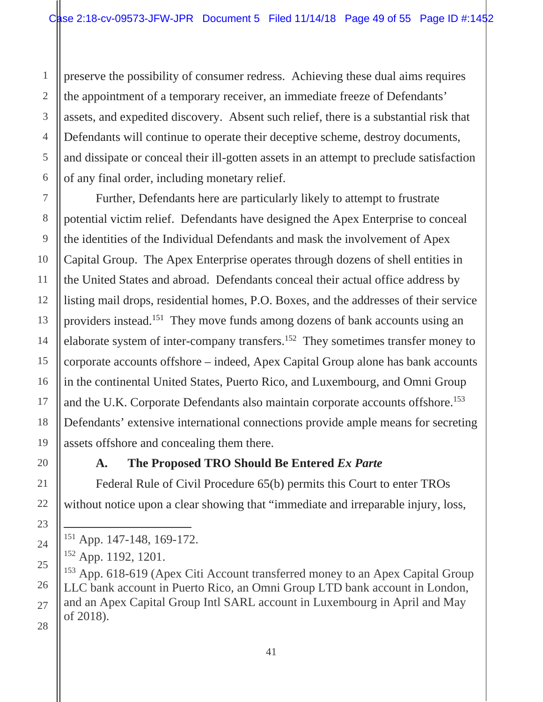preserve the possibility of consumer redress. Achieving these dual aims requires the appointment of a temporary receiver, an immediate freeze of Defendants' assets, and expedited discovery. Absent such relief, there is a substantial risk that Defendants will continue to operate their deceptive scheme, destroy documents, and dissipate or conceal their ill-gotten assets in an attempt to preclude satisfaction of any final order, including monetary relief.

and the U.K. Corporate Defendants also maintain corporate accounts offshore.<sup>153</sup> Further, Defendants here are particularly likely to attempt to frustrate potential victim relief. Defendants have designed the Apex Enterprise to conceal the identities of the Individual Defendants and mask the involvement of Apex Capital Group. The Apex Enterprise operates through dozens of shell entities in the United States and abroad. Defendants conceal their actual office address by listing mail drops, residential homes, P.O. Boxes, and the addresses of their service providers instead.151 They move funds among dozens of bank accounts using an elaborate system of inter-company transfers.152 They sometimes transfer money to corporate accounts offshore – indeed, Apex Capital Group alone has bank accounts in the continental United States, Puerto Rico, and Luxembourg, and Omni Group Defendants' extensive international connections provide ample means for secreting assets offshore and concealing them there.

 $\overline{a}$ 

#### **A. The Proposed TRO Should Be Entered** *Ex Parte*

Federal Rule of Civil Procedure 65(b) permits this Court to enter TROs without notice upon a clear showing that "immediate and irreparable injury, loss,

<sup>151</sup> App. 147-148, 169-172.

<sup>152</sup> App. 1192, 1201.

<sup>&</sup>lt;sup>153</sup> App. 618-619 (Apex Citi Account transferred money to an Apex Capital Group LLC bank account in Puerto Rico, an Omni Group LTD bank account in London, and an Apex Capital Group Intl SARL account in Luxembourg in April and May of 2018).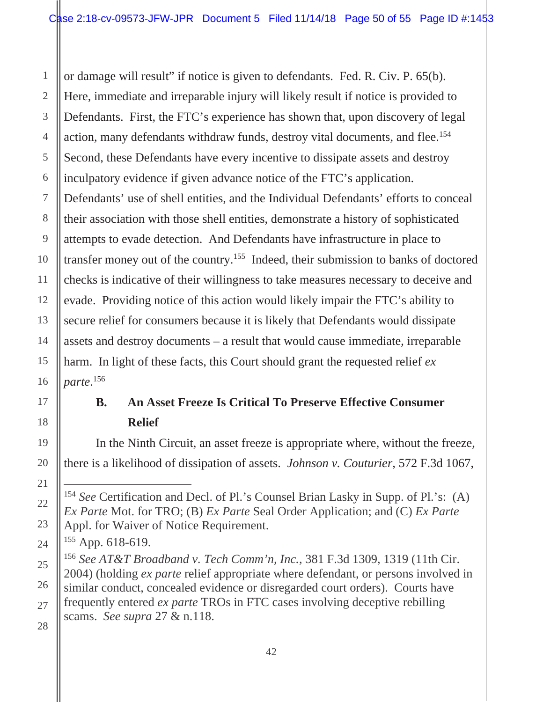<span id="page-49-0"></span>action, many defendants withdraw funds, destroy vital documents, and flee.<sup>154</sup> or damage will result" if notice is given to defendants. Fed. R. Civ. P. 65(b). Here, immediate and irreparable injury will likely result if notice is provided to Defendants. First, the FTC's experience has shown that, upon discovery of legal Second, these Defendants have every incentive to dissipate assets and destroy inculpatory evidence if given advance notice of the FTC's application. Defendants' use of shell entities, and the Individual Defendants' efforts to conceal their association with those shell entities, demonstrate a history of sophisticated attempts to evade detection. And Defendants have infrastructure in place to transfer money out of the country.155 Indeed, their submission to banks of doctored checks is indicative of their willingness to take measures necessary to deceive and evade. Providing notice of this action would likely impair the FTC's ability to secure relief for consumers because it is likely that Defendants would dissipate assets and destroy documents – a result that would cause immediate, irreparable harm. In light of these facts, this Court should grant the requested relief *ex parte*. 156

## **B. An Asset Freeze Is Critical To Preserve Effective Consumer Relief**

In the Ninth Circuit, an asset freeze is appropriate where, without the freeze, there is a likelihood of dissipation of assets. *Johnson v. Couturier*, 572 F.3d 1067,

<sup>154</sup>*See* Certification and Decl. of Pl.'s Counsel Brian Lasky in Supp. of Pl.'s: (A) *Ex Parte* Mot. for TRO; (B) *Ex Parte* Seal Order Application; and (C) *Ex Parte*  Appl. for Waiver of Notice Requirement.

<sup>&</sup>lt;sup>155</sup> App. 618-619.

<sup>156</sup>*See AT&T Broadband v. Tech Comm'n, Inc.*, 381 F.3d 1309, 1319 (11th Cir. 2004) (holding *ex parte* relief appropriate where defendant, or persons involved in similar conduct, concealed evidence or disregarded court orders). Courts have frequently entered *ex parte* TROs in FTC cases involving deceptive rebilling scams. *See supra* 27 & n.118.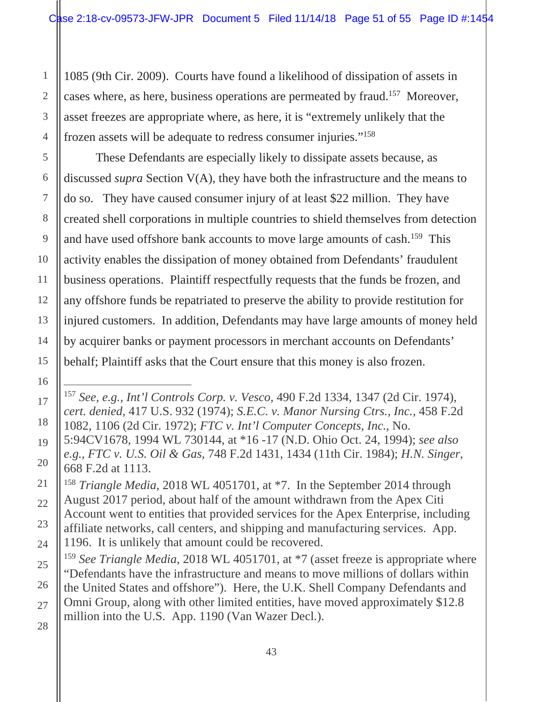<span id="page-50-0"></span> frozen assets will be adequate to redress consumer injuries."158 1085 (9th Cir. 2009). Courts have found a likelihood of dissipation of assets in cases where, as here, business operations are permeated by fraud.157 Moreover, asset freezes are appropriate where, as here, it is "extremely unlikely that the

These Defendants are especially likely to dissipate assets because, as discussed *supra* Section V(A), they have both the infrastructure and the means to do so. They have caused consumer injury of at least \$22 million. They have created shell corporations in multiple countries to shield themselves from detection and have used offshore bank accounts to move large amounts of cash.159 This activity enables the dissipation of money obtained from Defendants' fraudulent business operations. Plaintiff respectfully requests that the funds be frozen, and any offshore funds be repatriated to preserve the ability to provide restitution for injured customers. In addition, Defendants may have large amounts of money held by acquirer banks or payment processors in merchant accounts on Defendants' behalf; Plaintiff asks that the Court ensure that this money is also frozen.

<sup>157</sup>*See, e.g., Int'l Controls Corp. v. Vesco*, 490 F.2d 1334, 1347 (2d Cir. 1974), *cert. denied*, 417 U.S. 932 (1974); *S.E.C. v. Manor Nursing Ctrs., Inc.,* 458 F.2d 1082, 1106 (2d Cir. 1972); *FTC v. Int'l Computer Concepts, Inc.*, No.

<sup>5:94</sup>CV1678, 1994 WL 730144, at \*16 -17 (N.D. Ohio Oct. 24, 1994); *see also e.g., FTC v. U.S. Oil & Gas,* 748 F.2d 1431, 1434 (11th Cir. 1984); *H.N. Singer,*  668 F.2d at 1113.

<sup>&</sup>lt;sup>158</sup> Triangle Media, 2018 WL 4051701, at <sup>\*7</sup>. In the September 2014 through August 2017 period, about half of the amount withdrawn from the Apex Citi Account went to entities that provided services for the Apex Enterprise, including affiliate networks, call centers, and shipping and manufacturing services. App. 1196. It is unlikely that amount could be recovered.

<sup>&</sup>lt;sup>159</sup> See Triangle Media, 2018 WL 4051701, at  $*7$  (asset freeze is appropriate where "Defendants have the infrastructure and means to move millions of dollars within the United States and offshore"). Here, the U.K. Shell Company Defendants and Omni Group, along with other limited entities, have moved approximately \$12.8 million into the U.S. App. 1190 (Van Wazer Decl.).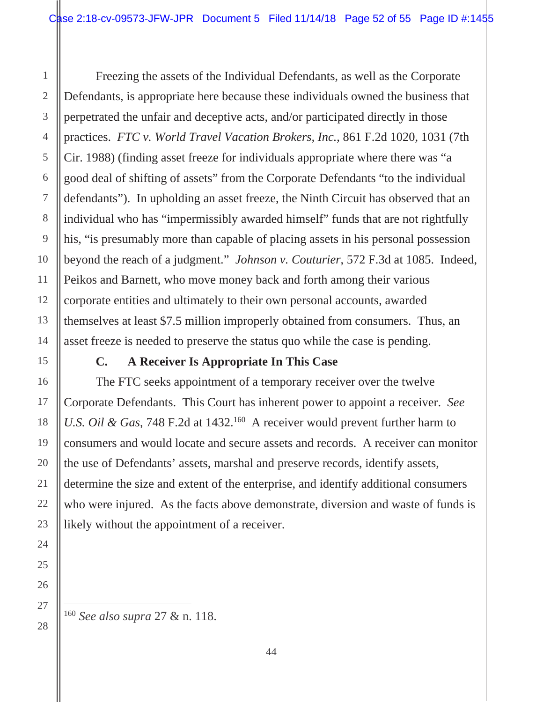<span id="page-51-0"></span>Freezing the assets of the Individual Defendants, as well as the Corporate Defendants, is appropriate here because these individuals owned the business that perpetrated the unfair and deceptive acts, and/or participated directly in those practices. *FTC v. World Travel Vacation Brokers, Inc.*, 861 F.2d 1020, 1031 (7th Cir. 1988) (finding asset freeze for individuals appropriate where there was "a good deal of shifting of assets" from the Corporate Defendants "to the individual defendants"). In upholding an asset freeze, the Ninth Circuit has observed that an individual who has "impermissibly awarded himself" funds that are not rightfully his, "is presumably more than capable of placing assets in his personal possession beyond the reach of a judgment." *Johnson v. Couturier*, 572 F.3d at 1085. Indeed, Peikos and Barnett, who move money back and forth among their various corporate entities and ultimately to their own personal accounts, awarded themselves at least \$7.5 million improperly obtained from consumers. Thus, an asset freeze is needed to preserve the status quo while the case is pending.

#### **C. A Receiver Is Appropriate In This Case**

The FTC seeks appointment of a temporary receiver over the twelve Corporate Defendants. This Court has inherent power to appoint a receiver. *See U.S. Oil & Gas, 748 F.2d at 1432.*<sup>160</sup> A receiver would prevent further harm to consumers and would locate and secure assets and records. A receiver can monitor the use of Defendants' assets, marshal and preserve records, identify assets, determine the size and extent of the enterprise, and identify additional consumers who were injured. As the facts above demonstrate, diversion and waste of funds is likely without the appointment of a receiver.

<sup>160</sup>*See also supra* 27 & n. 118.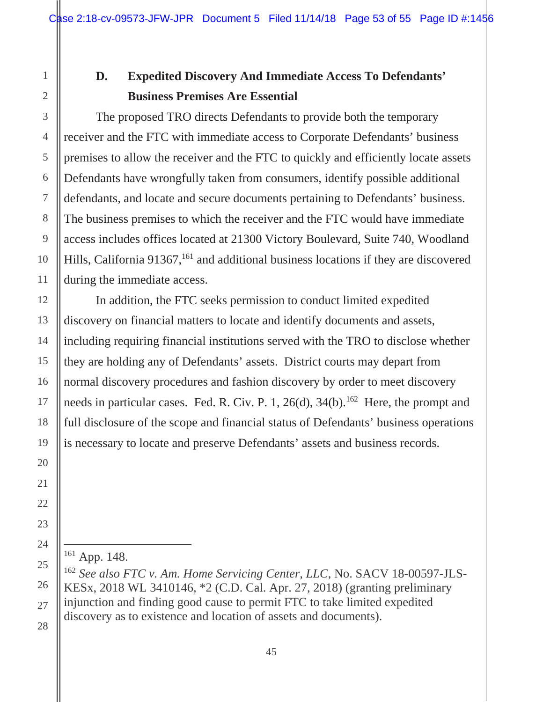## <span id="page-52-0"></span>**D. Expedited Discovery And Immediate Access To Defendants' Business Premises Are Essential**

The proposed TRO directs Defendants to provide both the temporary receiver and the FTC with immediate access to Corporate Defendants' business premises to allow the receiver and the FTC to quickly and efficiently locate assets Defendants have wrongfully taken from consumers, identify possible additional defendants, and locate and secure documents pertaining to Defendants' business. The business premises to which the receiver and the FTC would have immediate access includes offices located at 21300 Victory Boulevard, Suite 740, Woodland Hills, California 91367,<sup>161</sup> and additional business locations if they are discovered during the immediate access.

In addition, the FTC seeks permission to conduct limited expedited discovery on financial matters to locate and identify documents and assets, including requiring financial institutions served with the TRO to disclose whether they are holding any of Defendants' assets. District courts may depart from normal discovery procedures and fashion discovery by order to meet discovery needs in particular cases. Fed. R. Civ. P. 1, 26(d),  $34(b)$ .<sup>162</sup> Here, the prompt and full disclosure of the scope and financial status of Defendants' business operations is necessary to locate and preserve Defendants' assets and business records.

 $\overline{a}$ 

<sup>161</sup> App. 148.

 162 *See also FTC v. Am. Home Servicing Center, LLC*, No. SACV 18-00597-JLS-KESx, 2018 WL 3410146, \*2 (C.D. Cal. Apr. 27, 2018) (granting preliminary injunction and finding good cause to permit FTC to take limited expedited discovery as to existence and location of assets and documents).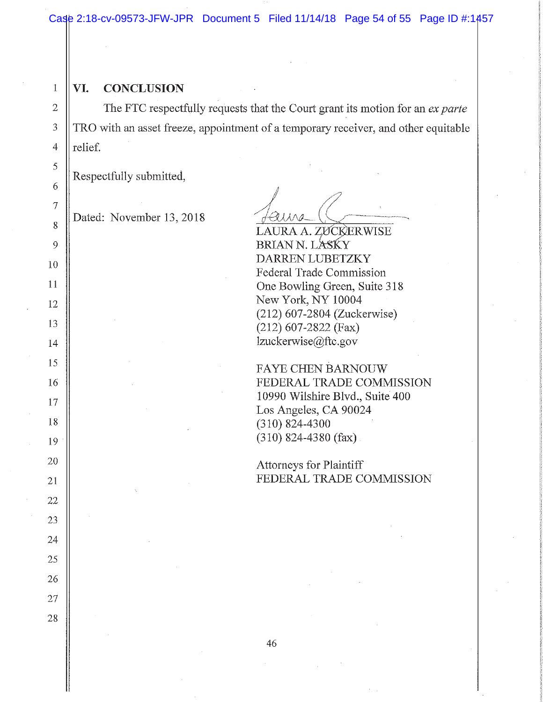#### 1 **VI. CONCLUSION**

The FTC respectfully requests that the Court grant its motion for an *ex parte*  TRO with an asset freeze, appointment of a temporary receiver, and other equitable relief.

Respectfully submitted,

Dated: November 13, 2018

LAURA A. ZƯCKERWISE BRIAN N. LASKY DARREN LUBETZKY Federal Trade Commission One Bowling Green, Suite 318 New York, NY 10004 (212) 607-2804 (Zuckerwise) (212) 607-2822 (Fax) lzuckerwise@ftc.gov

FA YE CHEN BARNOUW FEDERAL TRADE COMMISSION 10990 Wilshire Blvd., Suite 400 Los Angeles, CA 90024 (310) 824-4300 (310) 824-4380 (fax).

Attorneys for Plaintiff FEDERAL TRADE COMMISSION

2

3

4

5

6

7